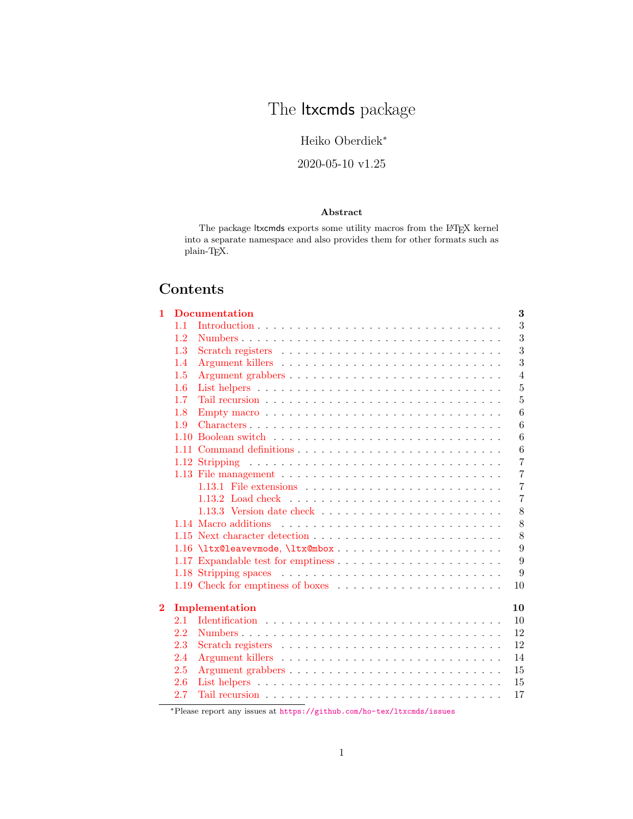# The *ltxcmds* package

Heiko Oberdiek<sup>∗</sup>

2020-05-10 v1.25

## Abstract

The package ltxcmds exports some utility macros from the LAT<sub>E</sub>X kernel into a separate namespace and also provides them for other formats such as plain-TEX.

# Contents

| $\mathbf{1}$   |         | <b>Documentation</b>                                                      | 3              |
|----------------|---------|---------------------------------------------------------------------------|----------------|
|                | 1.1     |                                                                           | 3              |
|                | 1.2     |                                                                           | 3              |
|                | $1.3\,$ |                                                                           | 3              |
|                | 1.4     |                                                                           | 3              |
|                | 1.5     |                                                                           | $\overline{4}$ |
|                | 1.6     |                                                                           | $\overline{5}$ |
|                | 1.7     |                                                                           | $\overline{5}$ |
|                | 1.8     |                                                                           | 6              |
|                | 1.9     | Characters                                                                | 6              |
|                | 1.10    |                                                                           | 6              |
|                |         |                                                                           | 6              |
|                |         |                                                                           | $\overline{7}$ |
|                |         |                                                                           | $\overline{7}$ |
|                |         | 1.13.1 File extensions $\ldots \ldots \ldots \ldots \ldots \ldots \ldots$ | $\overline{7}$ |
|                |         |                                                                           | $\overline{7}$ |
|                |         |                                                                           | 8              |
|                |         |                                                                           | 8              |
|                |         |                                                                           | 8              |
|                |         |                                                                           | 9              |
|                |         |                                                                           | 9              |
|                |         |                                                                           | 9              |
|                |         |                                                                           | 10             |
|                |         |                                                                           |                |
| $\overline{2}$ |         | Implementation                                                            | 10             |
|                | 2.1     |                                                                           | 10             |
|                | 2.2     |                                                                           | 12             |
|                | 2.3     |                                                                           | 12             |
|                | 2.4     |                                                                           | 14             |
|                | 2.5     |                                                                           | 15             |
|                | 2.6     |                                                                           | 15             |
|                | 2.7     |                                                                           | 17             |

<sup>∗</sup>Please report any issues at <https://github.com/ho-tex/ltxcmds/issues>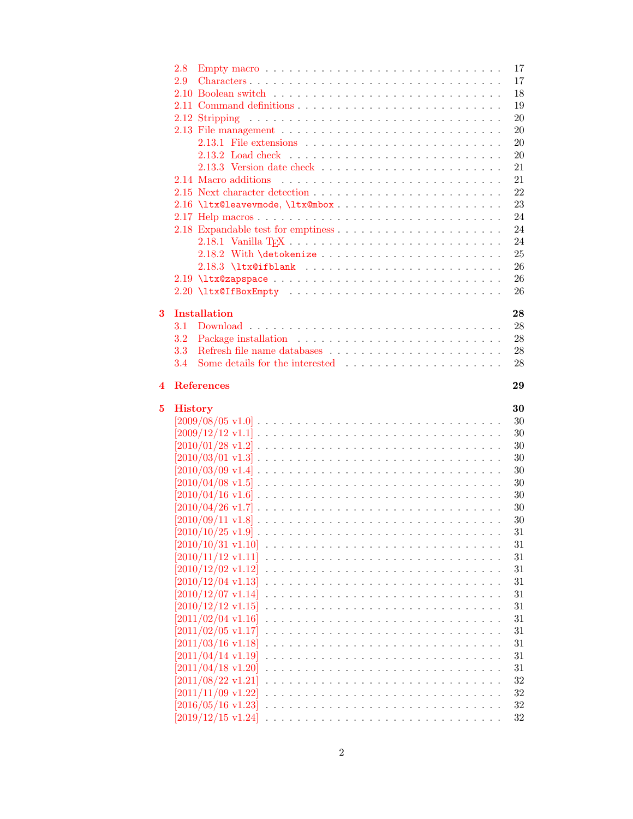|                         | 2.8                                                                                                             | 17               |
|-------------------------|-----------------------------------------------------------------------------------------------------------------|------------------|
|                         | 2.9<br>Characters                                                                                               | 17               |
|                         |                                                                                                                 | 18               |
|                         |                                                                                                                 | 19               |
|                         |                                                                                                                 | 20               |
|                         |                                                                                                                 | 20               |
|                         |                                                                                                                 | 20               |
|                         |                                                                                                                 | 20               |
|                         |                                                                                                                 | 21               |
|                         |                                                                                                                 | 21               |
|                         |                                                                                                                 | 22               |
|                         |                                                                                                                 | 23               |
|                         |                                                                                                                 | 24               |
|                         |                                                                                                                 | 24               |
|                         |                                                                                                                 | 24               |
|                         |                                                                                                                 |                  |
|                         |                                                                                                                 | 25               |
|                         |                                                                                                                 | 26               |
|                         |                                                                                                                 | 26               |
|                         |                                                                                                                 | 26               |
| $\overline{\mathbf{3}}$ | <b>Installation</b>                                                                                             | 28               |
|                         |                                                                                                                 |                  |
|                         | 3.1                                                                                                             | 28               |
|                         | 3.2                                                                                                             | 28               |
|                         | 3.3<br>Refresh file name databases $\ldots \ldots \ldots \ldots \ldots \ldots \ldots \ldots$                    | ${\bf 28}$       |
|                         | Some details for the interested $\cdots \cdots \cdots \cdots \cdots \cdots \cdots$<br>3.4                       | 28               |
| 4                       | <b>References</b>                                                                                               | 29               |
|                         |                                                                                                                 |                  |
|                         |                                                                                                                 |                  |
| 5                       | <b>History</b>                                                                                                  | 30               |
|                         | $[2009/08/05 \text{ v}1.0]$                                                                                     | 30               |
|                         |                                                                                                                 | 30               |
|                         | $[2010/01/28 \text{ v}1.2] \ldots \ldots \ldots \ldots \ldots \ldots \ldots \ldots \ldots \ldots \ldots$        | 30               |
|                         | $[2010/03/01 \text{ v}1.3] \ldots \ldots \ldots \ldots \ldots \ldots \ldots \ldots \ldots \ldots \ldots$        | 30               |
|                         | $[2010/03/09 \text{ v}1.4] \ldots \ldots \ldots \ldots \ldots \ldots \ldots \ldots \ldots \ldots \ldots$        | 30               |
|                         | $[2010/04/08 \text{ v}1.5] \ldots \ldots \ldots \ldots \ldots \ldots \ldots \ldots \ldots \ldots \ldots \ldots$ | 30               |
|                         | $[2010/04/16 \text{ v}1.6] \ldots \ldots \ldots \ldots \ldots \ldots \ldots \ldots \ldots \ldots \ldots$        | 30               |
|                         |                                                                                                                 | 30               |
|                         | $[2010/04/26 \text{ v}1.7] \ldots \ldots \ldots \ldots \ldots \ldots \ldots \ldots \ldots \ldots \ldots$        | 30               |
|                         | $[2010/09/11 \text{ v}1.8] \ldots \ldots \ldots \ldots \ldots \ldots \ldots \ldots \ldots \ldots \ldots$        | 31               |
|                         | $[2010/10/25 \text{ v}1.9]$ .                                                                                   |                  |
|                         |                                                                                                                 | 31               |
|                         | $[2010/11/12 \text{ v}1.11]$                                                                                    | $31\,$           |
|                         | $[2010/12/02 \text{ v}1.12]$                                                                                    | $31\,$           |
|                         | $[2010/12/04 \text{ v}1.13]$                                                                                    | 31               |
|                         | $[2010/12/07 \text{ v}1.14]$                                                                                    | 31               |
|                         | $[2010/12/12 \text{ v}1.15]$                                                                                    | 31               |
|                         | $[2011/02/04 \text{ v}1.16]$                                                                                    | 31               |
|                         | $[2011/02/05 \text{ v}1.17]$                                                                                    | 31               |
|                         | $[2011/03/16 \text{ v}1.18]$                                                                                    | 31               |
|                         | $[2011/04/14 \text{ v}1.19]$                                                                                    | 31               |
|                         | $[2011/04/18 \text{ v}1.20]$                                                                                    | 31               |
|                         | $[2011/08/22 \text{ v}1.21]$                                                                                    | $32\,$           |
|                         | $[2011/11/09 \text{ v}1.22]$                                                                                    | $32\,$           |
|                         | $[2016/05/16 \text{ v}1.23]$<br>$[2019/12/15 \text{ v}1.24]$                                                    | $32\,$<br>$32\,$ |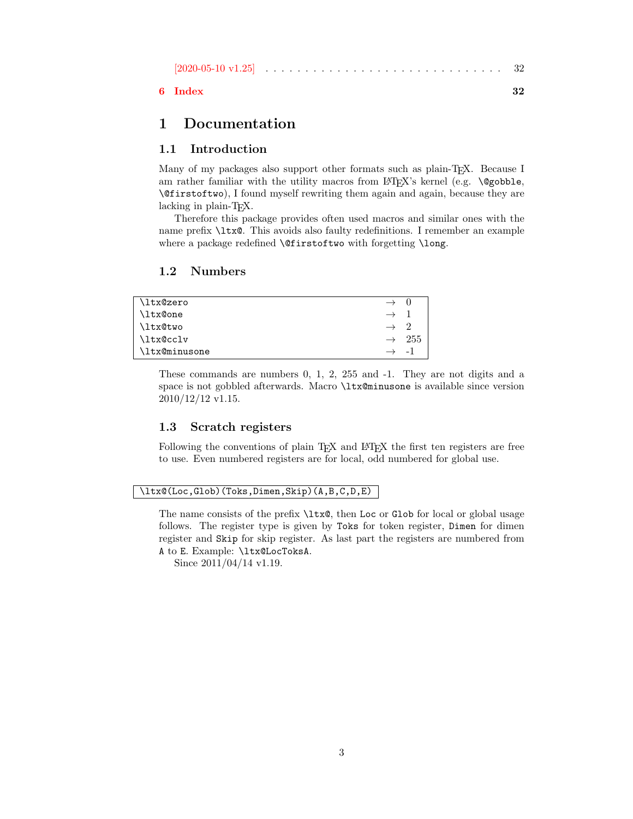| $[2020-05-10 \text{ v}1.25]$<br>VI.Z51 |  |  |  |  |  |  |  |  |  |  |  |  |  |  |  |  |  |  |  |  |  |  |  |  |  |  |  |  |  |  |
|----------------------------------------|--|--|--|--|--|--|--|--|--|--|--|--|--|--|--|--|--|--|--|--|--|--|--|--|--|--|--|--|--|--|
|----------------------------------------|--|--|--|--|--|--|--|--|--|--|--|--|--|--|--|--|--|--|--|--|--|--|--|--|--|--|--|--|--|--|

## [6 Index](#page-31-5) 32

## <span id="page-2-0"></span>1 Documentation

## <span id="page-2-1"></span>1.1 Introduction

Many of my packages also support other formats such as plain-T<sub>E</sub>X. Because I am rather familiar with the utility macros from LAT<sub>EX</sub>'s kernel (e.g. \@gobble, \@firstoftwo), I found myself rewriting them again and again, because they are lacking in plain-T<sub>F</sub>X.

Therefore this package provides often used macros and similar ones with the name prefix \ltx@. This avoids also faulty redefinitions. I remember an example where a package redefined **\@firstoftwo** with forgetting **\long**.

### <span id="page-2-2"></span>1.2 Numbers

<span id="page-2-5"></span>

| \ltx@zero     | $\rightarrow$ |     |
|---------------|---------------|-----|
| \ltx@one      |               |     |
| \ltx@two      |               |     |
| \ltx@cclv     | $\rightarrow$ | 255 |
| \ltx@minusone |               | - 1 |

These commands are numbers 0, 1, 2, 255 and -1. They are not digits and a space is not gobbled afterwards. Macro \ltx@minusone is available since version 2010/12/12 v1.15.

## <span id="page-2-3"></span>1.3 Scratch registers

Following the conventions of plain T<sub>EX</sub> and LAT<sub>EX</sub> the first ten registers are free to use. Even numbered registers are for local, odd numbered for global use.

#### <span id="page-2-4"></span>\ltx@(Loc,Glob)(Toks,Dimen,Skip)(A,B,C,D,E)

The name consists of the prefix  $\text{ltx}\$ , then Loc or Glob for local or global usage follows. The register type is given by Toks for token register, Dimen for dimen register and Skip for skip register. As last part the registers are numbered from A to E. Example: \ltx@LocToksA.

Since 2011/04/14 v1.19.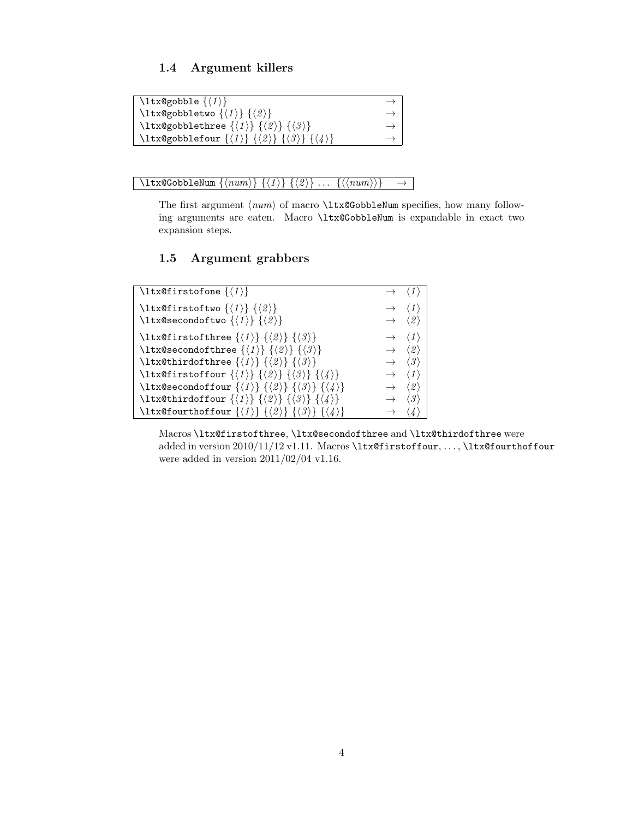## <span id="page-3-0"></span>1.4 Argument killers

```
\texttt{\textbackslash}ltx@gobble \{\langle 1 \rangle\} \rightarrow\texttt{\textbackslash}ltx@gobbletwo \{\langle 1 \rangle\} \{\langle 2 \rangle\} \rightarrow\text{ltx@gobblethree } \langle 1 \rangle \{ \langle 2 \rangle \} \{ \langle 3 \rangle \} \rightarrow\text{ltx@gobblefour } {\langle 1 \rangle} {\langle 2 \rangle} {\langle 3 \rangle} {\langle 4 \rangle} \longrightarrow
```
<span id="page-3-4"></span> $\left\{ \Delta \left\{ \left\langle num \right\rangle \right\} \right\} \left\{ \left\langle 1 \right\rangle \right\} \left\{ \left\langle \emptyset \right\rangle \right\} \ldots \left\{ \left\langle \left\langle num \right\rangle \right\rangle \right\} \quad \rightarrow \quad \Delta$ 

The first argument  $\langle num \rangle$  of macro \ltx@GobbleNum specifies, how many following arguments are eaten. Macro \ltx@GobbleNum is expandable in exact two expansion steps.

## <span id="page-3-1"></span>1.5 Argument grabbers

```
\text{ltx@firstofone } \langle 1 \rangle \rightarrow \langle 1 \rangle\text{MatrixOfityo } \{\langle 1 \rangle\} \{\langle 2 \rangle\} \rightarrow \langle 1 \rangle\text{ltx@secondoftwo} \{\langle 1 \rangle\} \{\langle 2 \rangle\} \rightarrow \langle 2 \rangle\text{Utx@first of three } {\langle 1 \rangle} {\langle 2 \rangle} {\langle 3 \rangle} \longrightarrow \langle 1 \rangle\ltx@secondofthree \{\langle 1 \rangle\} \{\langle 2 \rangle\} \{\langle 3 \rangle\} \rightarrow \langle 2 \rangle\ltx@thirdofthree \{\langle 1 \rangle\} \{\langle 2 \rangle\} \{\langle 3 \rangle\} \rightarrow \langle 3 \rangle\label{eq:convolution} $$\ltimes f\text{for }\{\langle 1 \rangle \} \ {\langle 3 \rangle} \ {\langle 4 \rangle} \longrightarrow \langle 1 \rangle$$\label{eq:11112} $$\ltimes \operatorname{form} {\langle 1 \rangle} {\langle 2 \rangle} {\langle 3 \rangle} {\langle 4 \rangle} \longrightarrow \langle 2 \rangle\ltx@thirdoffour \{\langle 1 \rangle\} \{\langle 2 \rangle\} \{\langle 3 \rangle\} \{\langle 4 \rangle\} \rightarrow \langle 3 \rangle\ltx@fourthoffour \{\langle 1 \rangle\} \{\langle 2 \rangle\} \{\langle 3 \rangle\} \{\langle 4 \rangle\} \rightarrow \langle 4 \rangle
```
Macros \ltx@firstofthree, \ltx@secondofthree and \ltx@thirdofthree were added in version 2010/11/12 v1.11. Macros \ltx@firstoffour, ..., \ltx@fourthoffour were added in version  $2011/02/04$  v1.16.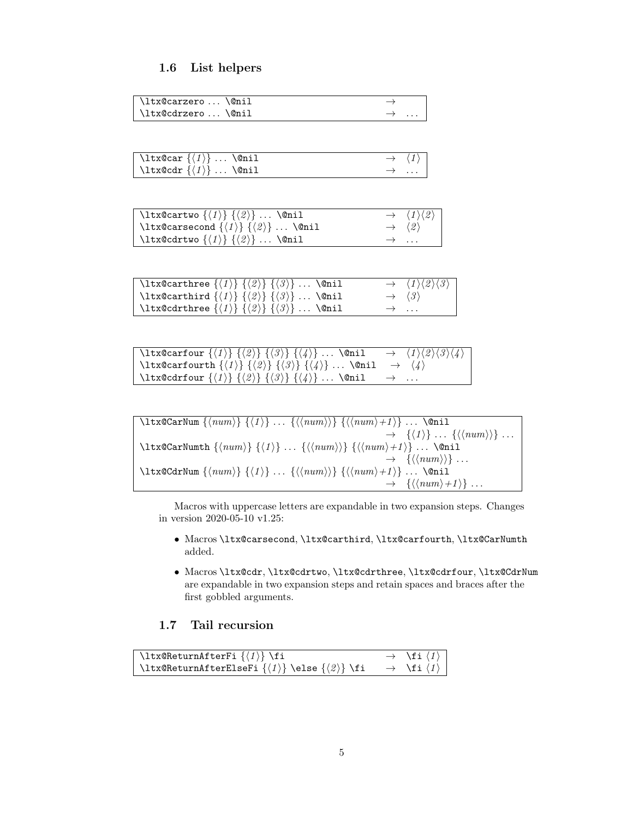## <span id="page-4-0"></span>1.6 List helpers

<span id="page-4-7"></span>

| \ltx@carzero\@nil |  |
|-------------------|--|
| \ltx@cdrzero\@nil |  |

<span id="page-4-2"></span>

| $\setminus$ ltx@car $\{\langle 1 \rangle\}$ \@nil |               | $\rightarrow \langle 1 \rangle$ |
|---------------------------------------------------|---------------|---------------------------------|
| \ltx@cdr $\{\langle 1 \rangle\}$ \@nil            | $\rightarrow$ |                                 |

<span id="page-4-6"></span>

| \ltx@cartwo $\{\langle 1 \rangle\}$ $\{\langle 2 \rangle\}$ \@nil    | $\rightarrow \langle 1 \rangle \langle 2 \rangle$ |
|----------------------------------------------------------------------|---------------------------------------------------|
| \ltx@carsecond $\{\langle 1 \rangle\}$ $\{\langle 2 \rangle\}$ \@nil | $\rightarrow \langle 2 \rangle$                   |
| \ltx@cdrtwo $\{\langle 1 \rangle\}$ $\{\langle 2 \rangle\}$ \@nil    | $\rightarrow$                                     |

<span id="page-4-5"></span>

| \ltx@carthree $\{\langle 1 \rangle\}$ $\{\langle 2 \rangle\}$ $\{\langle 3 \rangle\}$ \@nil |               | $\rightarrow \langle 1 \rangle \langle 2 \rangle \langle 3 \rangle$ |
|---------------------------------------------------------------------------------------------|---------------|---------------------------------------------------------------------|
| \ltx@carthird $\{\langle 1 \rangle\}$ $\{\langle 2 \rangle\}$ $\{\langle 3 \rangle\}$ \@nil |               | $\rightarrow$ $\langle 3 \rangle$                                   |
| \ltx@cdrthree $\{\langle 1 \rangle\}$ $\{\langle 2 \rangle\}$ $\{\langle 3 \rangle\}$ \@nil | $\rightarrow$ |                                                                     |

<span id="page-4-3"></span>

| \ltx@carfour $\{\langle 1 \rangle\}$ $\{\langle 2 \rangle\}$ $\{\langle 3 \rangle\}$ $\{\langle 4 \rangle\}$ \@nil $\rightarrow \langle 1 \rangle \langle 2 \rangle \langle 3 \rangle \langle 4 \rangle$ |  |
|----------------------------------------------------------------------------------------------------------------------------------------------------------------------------------------------------------|--|
| \ltx@carfourth $\{\langle 1 \rangle\}$ $\{\langle 2 \rangle\}$ $\{\langle 3 \rangle\}$ $\{\langle 4 \rangle\}$ \@nil $\rightarrow \langle 4 \rangle$                                                     |  |
| \ltx@cdrfour $\{\langle 1 \rangle\}$ $\{\langle 2 \rangle\}$ $\{\langle 4 \rangle\}$ \@nil $\rightarrow$                                                                                                 |  |

<span id="page-4-4"></span>
$$
\left\{\text{Carnlum }\{(num)\} \{ \langle 1 \rangle \} \dots \{ \langle num \rangle \} \{ \langle num \rangle + 1 \rangle \} \dots \text{Voni1} \rightarrow \{ \langle 1 \rangle \} \dots \{ \langle num \rangle \} \} \dots
$$
\n
$$
\left\{\text{Carnlumth }\{(num) \} \{ \langle 1 \rangle \} \dots \{ \langle num \rangle \} \} \{ \langle num \rangle + 1 \} \dots \text{Voni1} \rightarrow \{ \langle num \rangle \} \dots
$$
\n
$$
\left\{\text{Carnlumth }\{(num) \} \{ \langle 1 \rangle \} \dots \{ \langle num \rangle \} \} \{ \langle num \rangle + 1 \} \dots \text{Voni1} \rightarrow \{ \langle num \rangle + 1 \} \dots
$$

Macros with uppercase letters are expandable in two expansion steps. Changes in version 2020-05-10 v1.25:

- Macros \ltx@carsecond, \ltx@carthird, \ltx@carfourth, \ltx@CarNumth added.
- Macros \ltx@cdr, \ltx@cdrtwo, \ltx@cdrthree, \ltx@cdrfour, \ltx@CdrNum are expandable in two expansion steps and retain spaces and braces after the first gobbled arguments.

## <span id="page-4-1"></span>1.7 Tail recursion

<span id="page-4-8"></span>

| \ltx@ReturnAfterFi $\{\langle 1 \rangle\}$ \fi                                                        | $\rightarrow \$ i(1)                  |
|-------------------------------------------------------------------------------------------------------|---------------------------------------|
| $\label{thm:rel} $$ \ltt x@Return AfterElseFi {\langle 1 \rangle} \le lse {\langle 2 \rangle} \tif \$ | $\rightarrow \$ i $\langle 1 \rangle$ |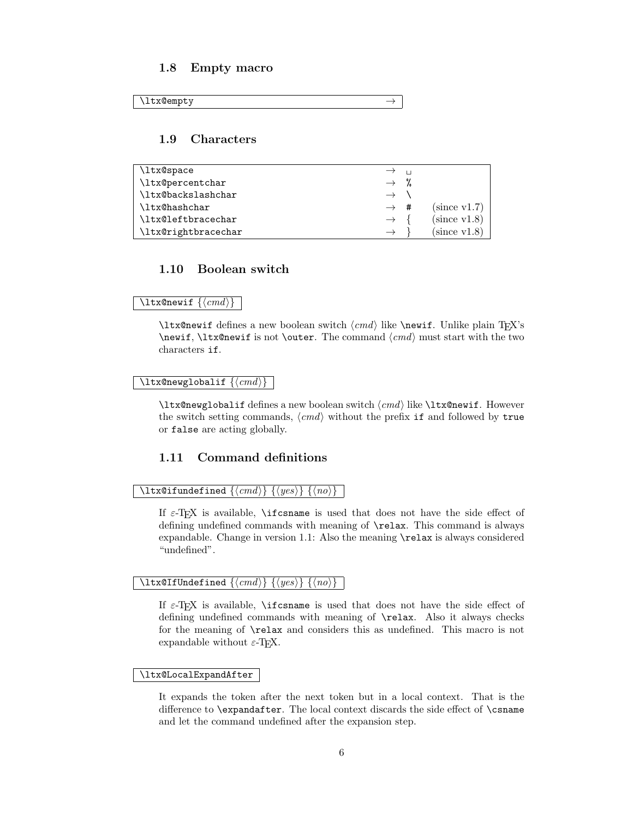### <span id="page-5-0"></span>1.8 Empty macro

```
\lambdaltx@empty \rightarrow
```
### <span id="page-5-1"></span>1.9 Characters

<span id="page-5-10"></span>

| \ltx@space          | $\rightarrow$ $\rightarrow$ |              |
|---------------------|-----------------------------|--------------|
| \ltx@percentchar    | $\rightarrow$ %             |              |
| \ltx@backslashchar  | $\rightarrow$               |              |
| \ltx@hashchar       | $\rightarrow$ #             | (since v1.7) |
| \ltx@leftbracechar  | $\rightarrow$               | (since v1.8) |
| \ltx@rightbracechar | $\rightarrow$               | (since v1.8) |

## <span id="page-5-2"></span>1.10 Boolean switch

#### <span id="page-5-9"></span> $\text{ltx@newif } \{ \langle cmd \rangle \}$

 $\text{Theorem 3}$  a new boolean switch  $\langle cmd \rangle$  like  $\text{Theorem 4}$ . Unlike plain TEX's  $\neq$  \newif, \ltx@newif is not \outer. The command  $\langle cmd \rangle$  must start with the two characters if.

#### <span id="page-5-8"></span> $\texttt{\texttt{\&}cmd}$

 $\text{ltx@newglobal}$  defines a new boolean switch  $\langle cmd \rangle$  like  $\text{ltx@new}$  f. However the switch setting commands,  $\langle cmd \rangle$  without the prefix if and followed by true or false are acting globally.

## <span id="page-5-3"></span>1.11 Command definitions

#### <span id="page-5-6"></span>\ltx@ifundefined  $\{\langle cmd \rangle\}$   $\{\langle yes \rangle\}$   $\{\langle no \rangle\}$

If  $\varepsilon$ -T<sub>E</sub>X is available, **\ifcsname** is used that does not have the side effect of defining undefined commands with meaning of \relax. This command is always expandable. Change in version 1.1: Also the meaning \relax is always considered "undefined".

### <span id="page-5-5"></span>\ltx@IfUndefined  $\{\langle cmd \rangle\}$   $\{\langle yes \rangle\}$   $\{\langle no \rangle\}$

If  $\varepsilon$ -T<sub>F</sub>X is available, **\ifcsname** is used that does not have the side effect of defining undefined commands with meaning of \relax. Also it always checks for the meaning of \relax and considers this as undefined. This macro is not expandable without  $\varepsilon$ -T<sub>E</sub>X.

#### <span id="page-5-7"></span>\ltx@LocalExpandAfter

It expands the token after the next token but in a local context. That is the difference to \expandafter. The local context discards the side effect of \csname and let the command undefined after the expansion step.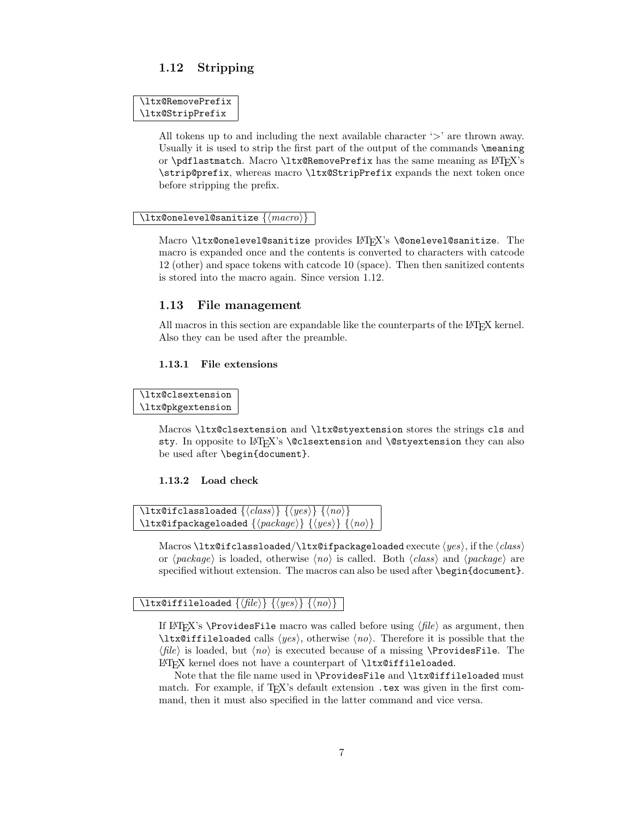## <span id="page-6-0"></span>1.12 Stripping

```
\ltx@RemovePrefix
\ltx@StripPrefix
```
All tokens up to and including the next available character  $\langle \rangle$  are thrown away. Usually it is used to strip the first part of the output of the commands \meaning or \pdflastmatch. Macro \ltx@RemovePrefix has the same meaning as  $\cancel{BT}x$ 's \strip@prefix, whereas macro \ltx@StripPrefix expands the next token once before stripping the prefix.

#### <span id="page-6-7"></span> $\texttt{\textbackslash}$ ltx@onelevel@sanitize  $\{\langle macro\rangle\}$

Macro \ltx@onelevel@sanitize provides LATFX's \@onelevel@sanitize. The macro is expanded once and the contents is converted to characters with catcode 12 (other) and space tokens with catcode 10 (space). Then then sanitized contents is stored into the macro again. Since version 1.12.

### <span id="page-6-1"></span>1.13 File management

All macros in this section are expandable like the counterparts of the LAT<sub>E</sub>X kernel. Also they can be used after the preamble.

### <span id="page-6-2"></span>1.13.1 File extensions

<span id="page-6-4"></span>\ltx@clsextension

\ltx@pkgextension

Macros \ltx@clsextension and \ltx@styextension stores the strings cls and sty. In opposite to LAT<sub>EX</sub>'s **\@clsextension** and **\@styextension** they can also be used after \begin{document}.

### <span id="page-6-3"></span>1.13.2 Load check

```
\setminusltx@ifclassloaded \{\langle class \rangle\} \{\langle yes \rangle\} \{\langle no \rangle\}\ltx@ifpackageloaded \{\langle package\rangle\} \{\langle yes\rangle\} \{\langle no\rangle\}
```
Macros \ltx@ifclassloaded/\ltx@ifpackageloaded execute  $\langle yes \rangle$ , if the  $\langle class \rangle$ or  $\langle package \rangle$  is loaded, otherwise  $\langle no \rangle$  is called. Both  $\langle class \rangle$  and  $\langle package \rangle$  are specified without extension. The macros can also be used after \begin{document}.

### <span id="page-6-6"></span>\ltx@iffileloaded  $\{\langle file \rangle\}$   $\{\langle yes \rangle\}$   $\{\langle no \rangle\}$

If LATEX's **\ProvidesFile** macro was called before using  $\langle file \rangle$  as argument, then  $\text{ltx@iffileloaded calls } \langle yes \rangle$ , otherwise  $\langle no \rangle$ . Therefore it is possible that the  $\langle file \rangle$  is loaded, but  $\langle no \rangle$  is executed because of a missing **\ProvidesFile.** The LATEX kernel does not have a counterpart of \ltx@iffileloaded.

Note that the file name used in \ProvidesFile and \ltx@iffileloaded must match. For example, if  $T_F X$ 's default extension .tex was given in the first command, then it must also specified in the latter command and vice versa.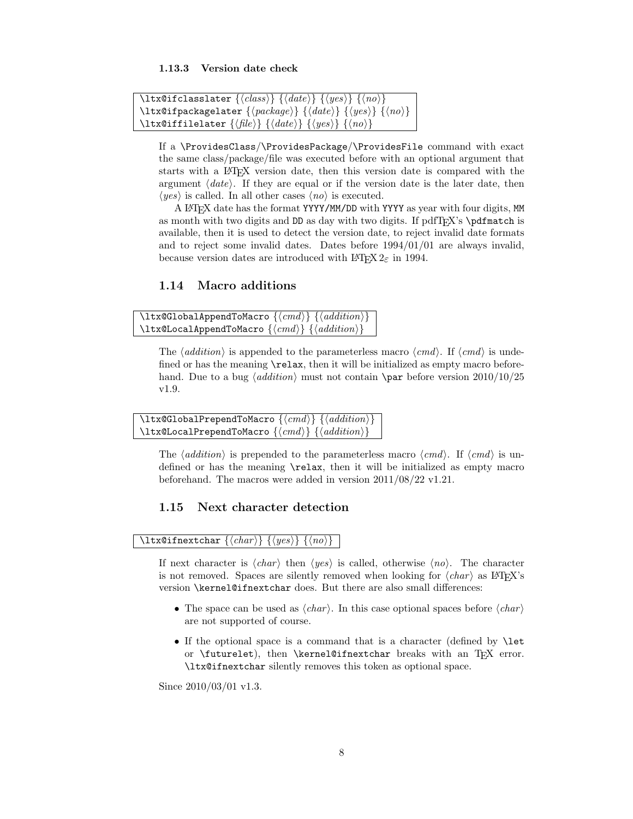#### <span id="page-7-0"></span>1.13.3 Version date check

<span id="page-7-5"></span>

| \ltx@ifclasslater $\{\langle class \rangle\}$ $\{\langle date \rangle\}$ $\{\langle yes \rangle\}$ $\{\langle no \rangle\}$     |
|---------------------------------------------------------------------------------------------------------------------------------|
| \ltx@ifpackagelater { $\langle package \rangle$ } { $\langle date \rangle$ } { $\langle yes \rangle$ } { $\langle no \rangle$ } |
| \ltx@iffilelater $\{\langle file \rangle\}$ $\{\langle date \rangle\}$ $\{\langle yes \rangle\}$ $\{\langle no \rangle\}$       |

If a \ProvidesClass/\ProvidesPackage/\ProvidesFile command with exact the same class/package/file was executed before with an optional argument that starts with a LATEX version date, then this version date is compared with the argument  $\langle date \rangle$ . If they are equal or if the version date is the later date, then  $\langle yes \rangle$  is called. In all other cases  $\langle no \rangle$  is executed.

A LATEX date has the format YYYY/MM/DD with YYYY as year with four digits, MM as month with two digits and DD as day with two digits. If  $pdfTr[X's \partial_t]$ available, then it is used to detect the version date, to reject invalid date formats and to reject some invalid dates. Dates before 1994/01/01 are always invalid, because version dates are introduced with  $\text{LATEX } 2_{\varepsilon}$  in 1994.

### <span id="page-7-1"></span>1.14 Macro additions

<span id="page-7-3"></span>

| \ltx@GlobalAppendToMacro $\{\langle cmd \rangle\}$ $\{\langle addition \rangle\}$ |  |
|-----------------------------------------------------------------------------------|--|
| \ltx@LocalAppendToMacro $\{\langle cmd \rangle\}$ $\{\langle addition \rangle\}$  |  |

The  $\langle addition \rangle$  is appended to the parameterless macro  $\langle cmd \rangle$ . If  $\langle cmd \rangle$  is undefined or has the meaning **\relax**, then it will be initialized as empty macro beforehand. Due to a bug  $\langle addition \rangle$  must not contain  $\parrow$ par before version 2010/10/25 v1.9.

```
\texttt{\texttt{{\char'134}lttx@GlobalPrependToMaccro}} \\texttt{\texttt{{\char'134}ltxdLocalPrependToMacro}} \verb"({<math>cmd</math>}{<math>{{\cal{A}}ddition}</math>}
```
The  $\langle addition \rangle$  is prepended to the parameterless macro  $\langle cmd \rangle$ . If  $\langle cmd \rangle$  is undefined or has the meaning \relax, then it will be initialized as empty macro beforehand. The macros were added in version 2011/08/22 v1.21.

## <span id="page-7-2"></span>1.15 Next character detection

### <span id="page-7-6"></span>\ltx@ifnextchar  $\{\langle char \rangle\}$   $\{\langle yes \rangle\}$   $\{\langle no \rangle\}$

If next character is  $\langle char \rangle$  then  $\langle yes \rangle$  is called, otherwise  $\langle no \rangle$ . The character is not removed. Spaces are silently removed when looking for  $\langle char \rangle$  as LATEX's version \kernel@ifnextchar does. But there are also small differences:

- The space can be used as  $\langle char \rangle$ . In this case optional spaces before  $\langle char \rangle$ are not supported of course.
- If the optional space is a command that is a character (defined by **\let** or \futurelet), then \kernel@ifnextchar breaks with an TEX error. \ltx@ifnextchar silently removes this token as optional space.

Since  $2010/03/01$  v1.3.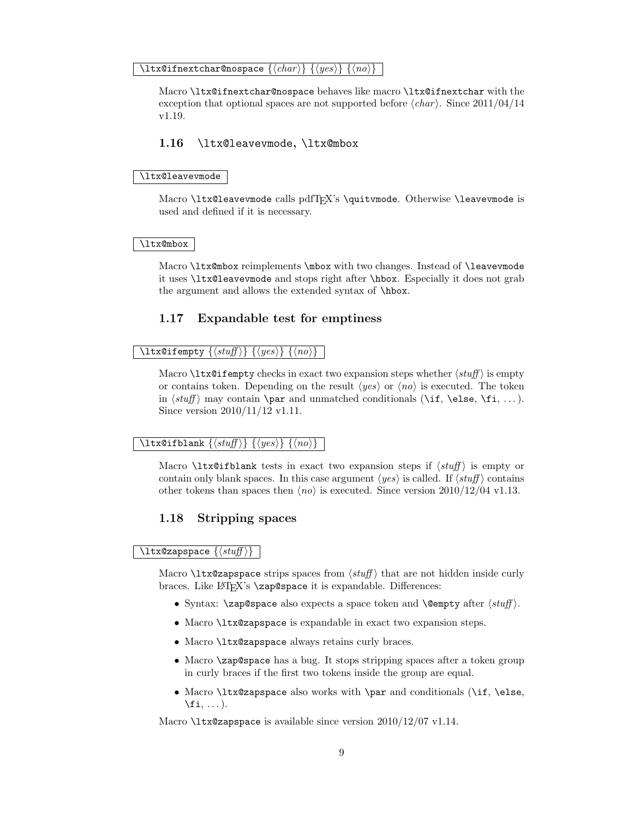#### <span id="page-8-5"></span> $\setminus$ ltx@ifnextchar@nospace  $\{\langle char \rangle\}$   $\{\langle yes \rangle\}$   $\{\langle no \rangle\}$

Macro \ltx@ifnextchar@nospace behaves like macro \ltx@ifnextchar with the exception that optional spaces are not supported before  $\langle char \rangle$ . Since 2011/04/14 v1.19.

### <span id="page-8-0"></span>1.16 \ltx@leavevmode, \ltx@mbox

#### <span id="page-8-6"></span>\ltx@leavevmode

Macro \ltx@leavevmode calls pdfTFX's \quitvmode. Otherwise \leavevmode is used and defined if it is necessary.

#### <span id="page-8-7"></span>\ltx@mbox

Macro \ltx@mbox reimplements \mbox with two changes. Instead of \leavevmode it uses \ltx@leavevmode and stops right after \hbox. Especially it does not grab the argument and allows the extended syntax of \hbox.

### <span id="page-8-1"></span>1.17 Expandable test for emptiness

#### <span id="page-8-4"></span> $\setminus$ ltx@ifempty  $\{\langle \mathit{stuff} \rangle\}$   $\{\langle \mathit{yes} \rangle\}$   $\{\langle \mathit{no} \rangle\}$

Macro  $\text{Utx}$  eifempty checks in exact two expansion steps whether  $\text{int}($  is empty or contains token. Depending on the result  $\langle yes \rangle$  or  $\langle no \rangle$  is executed. The token in  $\langle \text{supp} \rangle$  may contain  $\parrow$  and unmatched conditionals  $(\iota, \ell)$ . Since version 2010/11/12 v1.11.

#### <span id="page-8-3"></span> $\setminus$ ltx@ifblank  $\{\langle \mathit{stuff} \rangle\}$   $\{\langle \mathit{yes} \rangle\}$   $\{\langle \mathit{no} \rangle\}$

Macro  $\text{Utx}$ Gifblank tests in exact two expansion steps if  $\text{S}$  is empty or contain only blank spaces. In this case argument  $\langle yes \rangle$  is called. If  $\langle stuff \rangle$  contains other tokens than spaces then  $\langle n\rho \rangle$  is executed. Since version 2010/12/04 v1.13.

### <span id="page-8-2"></span>1.18 Stripping spaces

<span id="page-8-8"></span> $\text{ltx@zapspace } \{ \sqrt{stuff} \}$ 

Macro  $\text{Utx}$  expansion is that are not hidden inside curly braces. Like L<sup>AT</sup><sub>E</sub>X's **\zap@space** it is expandable. Differences:

- Syntax:  $\zeta$  is also expects a space token and  $\{\emptyset\}$  after  $\langle \text{stuff} \rangle$ .
- Macro \ltx@zapspace is expandable in exact two expansion steps.
- Macro \ltx@zapspace always retains curly braces.
- Macro \zap@space has a bug. It stops stripping spaces after a token group in curly braces if the first two tokens inside the group are equal.
- Macro \ltx@zapspace also works with \par and conditionals (\if, \else,  $\setminus$ fi,  $\dots$ ).

Macro \ltx@zapspace is available since version 2010/12/07 v1.14.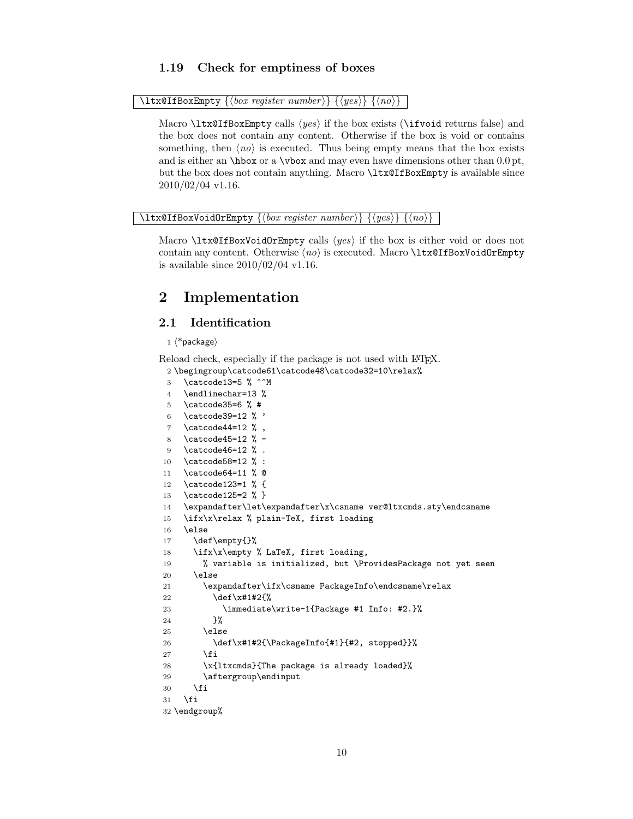## <span id="page-9-0"></span>1.19 Check for emptiness of boxes

<span id="page-9-22"></span> $\{\text{Ext}\}\,{\mathcal{A}}$  (box register number)  $\{\langle yes \rangle\}$   $\{\langle no \rangle\}$ 

Macro  $\text{Utx@IfBoxEmpty}$  calls  $\langle yes \rangle$  if the box exists ( $\text{Vifvoid returns false}$ ) and the box does not contain any content. Otherwise if the box is void or contains something, then  $\langle n\rho \rangle$  is executed. Thus being empty means that the box exists and is either an  $\hbar$  or a  $\bar{\text{two}}$  and may even have dimensions other than 0.0 pt, but the box does not contain anything. Macro \ltx@IfBoxEmpty is available since  $2010/02/04$  v1.16.

<span id="page-9-23"></span>\ltx@IfBoxVoidOrEmpty  $\{\langle box\ register\ number \rangle\}$   $\{\langle yes \rangle\}$   $\{\langle no \rangle\}$ 

Macro  $\text{Utx@IfBox}$ VoidOrEmpty calls  $\langle yes \rangle$  if the box is either void or does not contain any content. Otherwise  $\langle n\rangle$  is executed. Macro \ltx@IfBoxVoidOrEmpty is available since  $2010/02/04$  v1.16.

## <span id="page-9-1"></span>2 Implementation

## <span id="page-9-2"></span>2.1 Identification

#### $1 \langle *$ package $\rangle$

<span id="page-9-4"></span>Reload check, especially if the package is not used with LAT<sub>EX</sub>. 2 \begingroup\catcode61\catcode48\catcode32=10\relax%

```
3 \catcode13=5 % ^^M
4 \endlinechar=13 %
5 \catcode35=6 % #
6 \catcode39=12 % '
7 \ \ \ \ \ \ \ \ \ \ \ \9
8 \catcode45=12 % -
9 \catcode46=12 % .
10 \catcode58=12 % :
11 \catcode64=11 % @
12 \catcode123=1 % {
13 \catcode125=2 % }
14 \expandafter\let\expandafter\x\csname ver@ltxcmds.sty\endcsname
15 \ifx\x\relax % plain-TeX, first loading
16 \else
17 \def\empty{}%
18 \ifx\x\empty % LaTeX, first loading,
19 % variable is initialized, but \ProvidesPackage not yet seen
20 \else
21 \expandafter\ifx\csname PackageInfo\endcsname\relax
22 \det\left\{x\#1\#2\{\% \right\}23 \immediate\write-1{Package #1 Info: #2.}%
24 }%
25 \else
26 \def\x#1#2{\PackageInfo{#1}{#2, stopped}}%
27 \setminusfi
28 \x{ltxcmds}{The package is already loaded}%
29 \aftergroup\endinput
30 \foralli
31 \fi
32 \endgroup%
```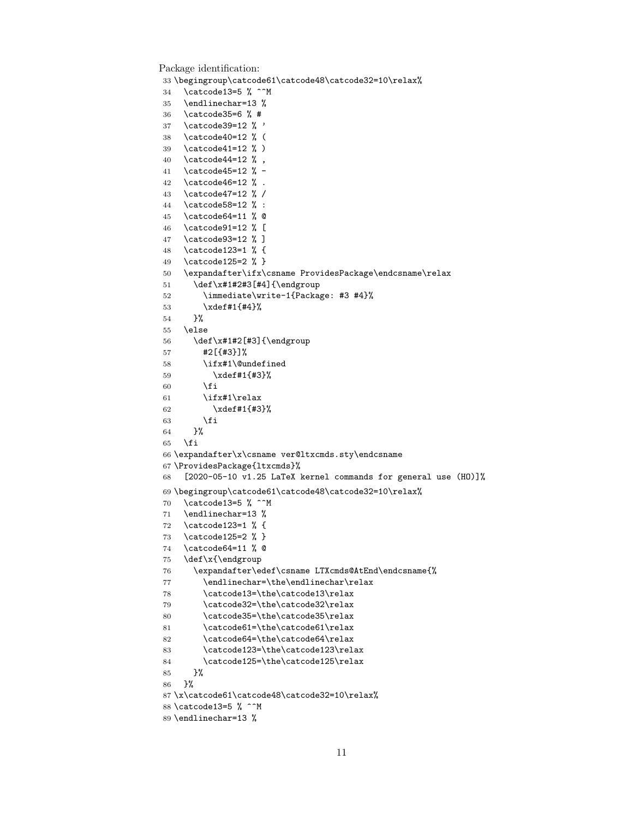```
Package identification:
33 \begingroup\catcode61\catcode48\catcode32=10\relax%
34 \catcode13=5 % ^^M
35 \endlinechar=13 %
36 \catcode35=6 % #
37 \catcode39=12 % '
38 \catcode40=12 % (
39 \catcode41=12 % )
40 \catcode44=12 % ,
41 \catcode45=12 % -
42 \catcode46=12 % .
43 \catcode47=12 % /
44 \catcode58=12 % :
45 \catcode64=11 % @
46 \catcode91=12 % [
47 \catcode93=12 % ]
48 \catcode123=1 % {
49 \catcode125=2 % }
50 \expandafter\ifx\csname ProvidesPackage\endcsname\relax
51 \def\x#1#2#3[#4]{\endgroup
52 \immediate\write-1{Package: #3 #4}%
53 \xdef#1{#4}%
54 }%
55 \else
56 \def\x#1#2[#3]{\endgroup
57 #2[{#3}]%
58 \ifx#1\@undefined
59 \xdef#1{#3}%
60 \overline{\text{1}}61 \iint x#1\relax62 \xdef#1{#3}%
63 \setminusfi
64 }%
65 \fi
66 \expandafter\x\csname ver@ltxcmds.sty\endcsname
67 \ProvidesPackage{ltxcmds}%
68 [2020-05-10 v1.25 LaTeX kernel commands for general use (HO)]%
69 \begingroup\catcode61\catcode48\catcode32=10\relax%
70 \catcode13=5 % ^^M
71 \endlinechar=13 %
72 \catcode123=1 % {
73 \catcode125=2 % }
74 \catcode64=11 % @
75 \def\x{\endgroup
76 \expandafter\edef\csname LTXcmds@AtEnd\endcsname{%
77 \endlinechar=\the\endlinechar\relax
78 \catcode13=\the\catcode13\relax
79 \catcode32=\the\catcode32\relax
80 \catcode35=\the\catcode35\relax
81 \catcode61=\the\catcode61\relax
82 \catcode64=\the\catcode64\relax
83 \catcode123=\the\catcode123\relax
84 \catcode125=\the\catcode125\relax
85 }%
86 }%
87 \x\catcode61\catcode48\catcode32=10\relax%
88 \catcode13=5 % ^^M
89 \endlinechar=13 %
```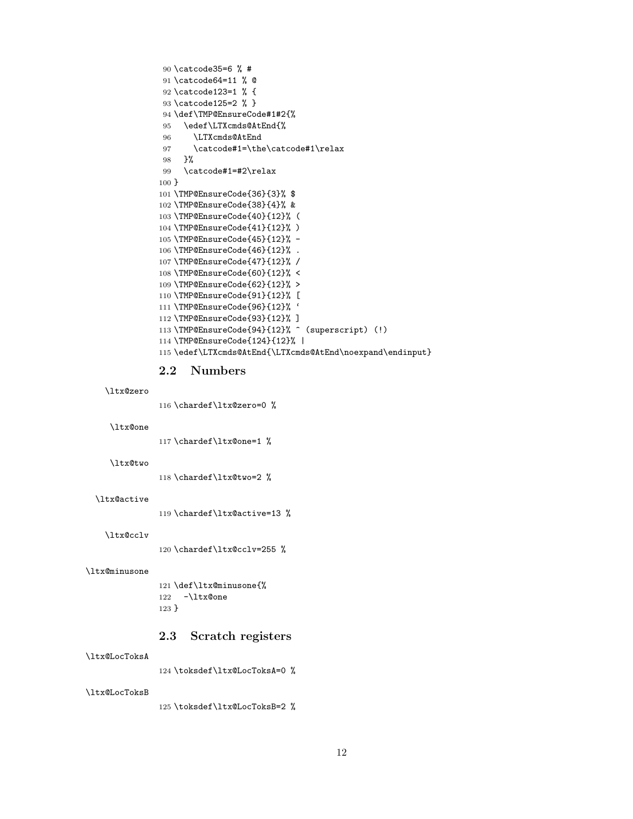```
90 \catcode35=6 % #
91 \catcode64=11 % @
92 \catcode123=1 % {
93 \catcode125=2 % }
94 \def\TMP@EnsureCode#1#2{%
95 \edef\LTXcmds@AtEnd{%
96 \LTXcmds@AtEnd
97 \catcode#1=\the\catcode#1\relax
98 }%
99 \catcode#1=#2\relax
100 }
101 \TMP@EnsureCode{36}{3}% $
102 \TMP@EnsureCode{38}{4}% &
103 \TMP@EnsureCode{40}{12}% (
104 \TMP@EnsureCode{41}{12}% )
105 \TMP@EnsureCode{45}{12}% -
106 \TMP@EnsureCode{46}{12}% .
107 \TMP@EnsureCode{47}{12}% /
108 \TMP@EnsureCode{60}{12}% <
109 \TMP@EnsureCode{62}{12}% >
110 \TMP@EnsureCode{91}{12}% [
111 \TMP@EnsureCode{96}{12}% '
112 \TMP@EnsureCode{93}{12}% ]
113 \TMP@EnsureCode{94}{12}% ^ (superscript) (!)
114 \TMP@EnsureCode{124}{12}% |
115 \edef\LTXcmds@AtEnd{\LTXcmds@AtEnd\noexpand\endinput}
```
### <span id="page-11-39"></span><span id="page-11-38"></span><span id="page-11-37"></span><span id="page-11-36"></span><span id="page-11-35"></span><span id="page-11-34"></span><span id="page-11-33"></span><span id="page-11-32"></span><span id="page-11-31"></span><span id="page-11-30"></span><span id="page-11-29"></span><span id="page-11-13"></span><span id="page-11-0"></span>2.2 Numbers

```
\ltx@zero
```
<span id="page-11-8"></span>\chardef\ltx@zero=0 %

#### <span id="page-11-19"></span>\ltx@one

<span id="page-11-9"></span>\chardef\ltx@one=1 %

#### <span id="page-11-21"></span>\ltx@two

<span id="page-11-10"></span>\chardef\ltx@two=2 %

#### <span id="page-11-14"></span>\ltx@active

<span id="page-11-11"></span>\chardef\ltx@active=13 %

#### <span id="page-11-15"></span>\ltx@cclv

<span id="page-11-12"></span>120 \chardef\ltx@cclv=255 %

#### <span id="page-11-18"></span>\ltx@minusone

<span id="page-11-20"></span> \def\ltx@minusone{% -\ltx@one }

### <span id="page-11-1"></span>2.3 Scratch registers

#### <span id="page-11-16"></span>\ltx@LocToksA

<span id="page-11-40"></span>\toksdef\ltx@LocToksA=0 %

#### <span id="page-11-17"></span>\ltx@LocToksB

<span id="page-11-41"></span>\toksdef\ltx@LocToksB=2 %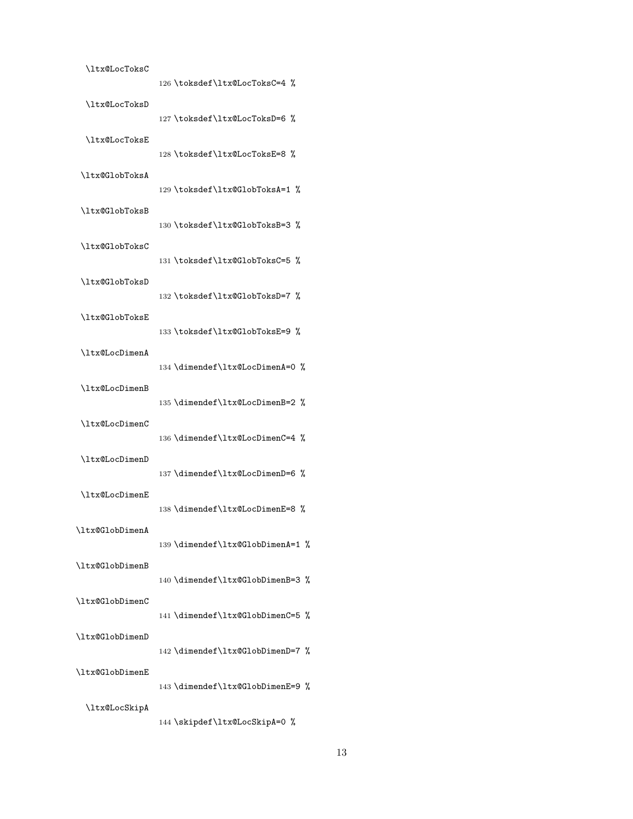<span id="page-12-37"></span><span id="page-12-36"></span><span id="page-12-35"></span><span id="page-12-34"></span><span id="page-12-33"></span><span id="page-12-32"></span><span id="page-12-31"></span><span id="page-12-30"></span><span id="page-12-29"></span><span id="page-12-28"></span><span id="page-12-27"></span><span id="page-12-26"></span><span id="page-12-25"></span><span id="page-12-24"></span><span id="page-12-23"></span><span id="page-12-22"></span><span id="page-12-21"></span><span id="page-12-20"></span><span id="page-12-19"></span><span id="page-12-18"></span><span id="page-12-17"></span><span id="page-12-16"></span><span id="page-12-15"></span><span id="page-12-14"></span><span id="page-12-13"></span><span id="page-12-12"></span><span id="page-12-11"></span><span id="page-12-10"></span><span id="page-12-9"></span><span id="page-12-8"></span><span id="page-12-7"></span><span id="page-12-6"></span><span id="page-12-5"></span><span id="page-12-4"></span><span id="page-12-3"></span><span id="page-12-2"></span><span id="page-12-1"></span><span id="page-12-0"></span>

| \ltx@LocToksC          | 126 \toksdef\ltx@LocToksC=4 %    |
|------------------------|----------------------------------|
| \ltx@LocToksD          | 127 \toksdef\ltx@LocToksD=6 %    |
| \ltx@LocToksE          | 128 \toksdef\ltx@LocToksE=8 %    |
| \ltx@GlobToksA         |                                  |
| \ltx@GlobToksB         | 129 \toksdef\ltx@GlobToksA=1 %   |
| \ltx@GlobToksC         | 130 \toksdef\ltx@GlobToksB=3 %   |
| \ltx@GlobToksD         | 131 \toksdef\ltx@GlobToksC=5 %   |
|                        | 132\toksdef\ltx@GlobToksD=7 %    |
| \ltx@GlobToksE         | 133\toksdef\ltx@GlobToksE=9 %    |
| \ltx@LocDimenA         | 134 \dimendef\ltx@LocDimenA=0 %  |
| \ltx@LocDimenB         | 135 \dimendef\ltx@LocDimenB=2 %  |
| \ltx@LocDimenC         | 136 \dimendef\ltx@LocDimenC=4 %  |
| \ltx@LocDimenD         | 137 \dimendef\ltx@LocDimenD=6 %  |
| <b>\ltx@LocDimenE</b>  |                                  |
| <b>\ltx@GlobDimenA</b> | 138 \dimendef\ltx@LocDimenE=8 %  |
| \ltx@GlobDimenB        | 139 \dimendef\ltx@GlobDimenA=1 % |
| \ltx@GlobDimenC        | 140 \dimendef\ltx@GlobDimenB=3 % |
|                        | 141 \dimendef\ltx@GlobDimenC=5 % |
| \ltx@GlobDimenD        | 142 \dimendef\ltx@GlobDimenD=7 % |
| \ltx@GlobDimenE        | 143 \dimendef\ltx@GlobDimenE=9 % |
| \ltx@LocSkipA          | 144 \skipdef\ltx@LocSkipA=0 %    |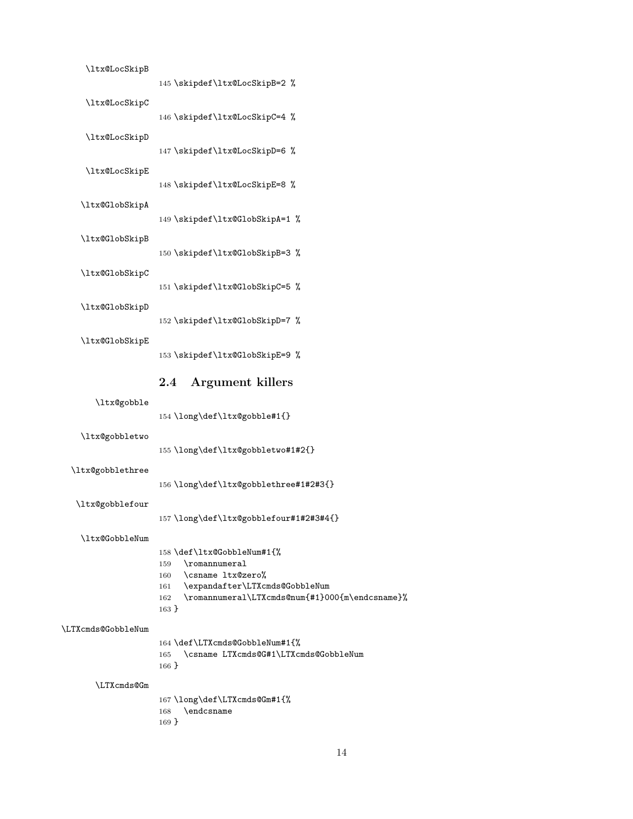<span id="page-13-31"></span><span id="page-13-30"></span><span id="page-13-29"></span><span id="page-13-28"></span><span id="page-13-27"></span><span id="page-13-26"></span><span id="page-13-25"></span><span id="page-13-24"></span><span id="page-13-23"></span><span id="page-13-18"></span><span id="page-13-17"></span><span id="page-13-16"></span><span id="page-13-15"></span><span id="page-13-9"></span><span id="page-13-8"></span><span id="page-13-7"></span><span id="page-13-6"></span><span id="page-13-5"></span>

| \ltx@LocSkipB      | 145 \skipdef\ltx@LocSkipB=2 %                                                                                                                                                                    |
|--------------------|--------------------------------------------------------------------------------------------------------------------------------------------------------------------------------------------------|
| \ltx@LocSkipC      | 146 \skipdef\ltx@LocSkipC=4 %                                                                                                                                                                    |
| \ltx@LocSkipD      | 147 \skipdef\ltx@LocSkipD=6 %                                                                                                                                                                    |
| \ltx@LocSkipE      | 148 \skipdef\ltx@LocSkipE=8 %                                                                                                                                                                    |
| \ltx@GlobSkipA     | 149 \skipdef\ltx@GlobSkipA=1 %                                                                                                                                                                   |
| \ltx@GlobSkipB     | 150 \skipdef\ltx@GlobSkipB=3 %                                                                                                                                                                   |
| \ltx@GlobSkipC     | 151 \skipdef\ltx@GlobSkipC=5 %                                                                                                                                                                   |
| \ltx@GlobSkipD     |                                                                                                                                                                                                  |
| \ltx@GlobSkipE     | 152 \skipdef\ltx@GlobSkipD=7 %                                                                                                                                                                   |
|                    | 153 \skipdef\ltx@GlobSkipE=9 %                                                                                                                                                                   |
|                    |                                                                                                                                                                                                  |
|                    | <b>Argument killers</b><br>$2.4\,$                                                                                                                                                               |
| \ltx@gobble        | 154 \long\def\ltx@gobble#1{}                                                                                                                                                                     |
| \ltx@gobbletwo     | 155 \long\def\ltx@gobbletwo#1#2{}                                                                                                                                                                |
| \ltx@gobblethree   | 156 \long\def\ltx@gobblethree#1#2#3{}                                                                                                                                                            |
| \ltx@gobblefour    |                                                                                                                                                                                                  |
|                    | 157\long\def\ltx@gobblefour#1#2#3#4{}                                                                                                                                                            |
| \ltx@GobbleNum     | 158 \def\ltx@GobbleNum#1{%<br>\romannumeral<br>159<br>\csname ltx@zero%<br>160<br>\expandafter\LTXcmds@GobbleNum<br>161<br>\romannumeral\LTXcmds@num{#1}000{m\endcsname}%<br>162<br>$163\,$ $\}$ |
| \LTXcmds@GobbleNum | 164 \def\LTXcmds@GobbleNum#1{%<br>\csname LTXcmds@G#1\LTXcmds@GobbleNum<br>165<br>$166$ }                                                                                                        |

<span id="page-13-22"></span><span id="page-13-21"></span><span id="page-13-20"></span><span id="page-13-19"></span><span id="page-13-14"></span><span id="page-13-13"></span><span id="page-13-12"></span><span id="page-13-11"></span><span id="page-13-10"></span><span id="page-13-4"></span><span id="page-13-3"></span><span id="page-13-2"></span><span id="page-13-1"></span><span id="page-13-0"></span> \long\def\LTXcmds@Gm#1{% \endcsname }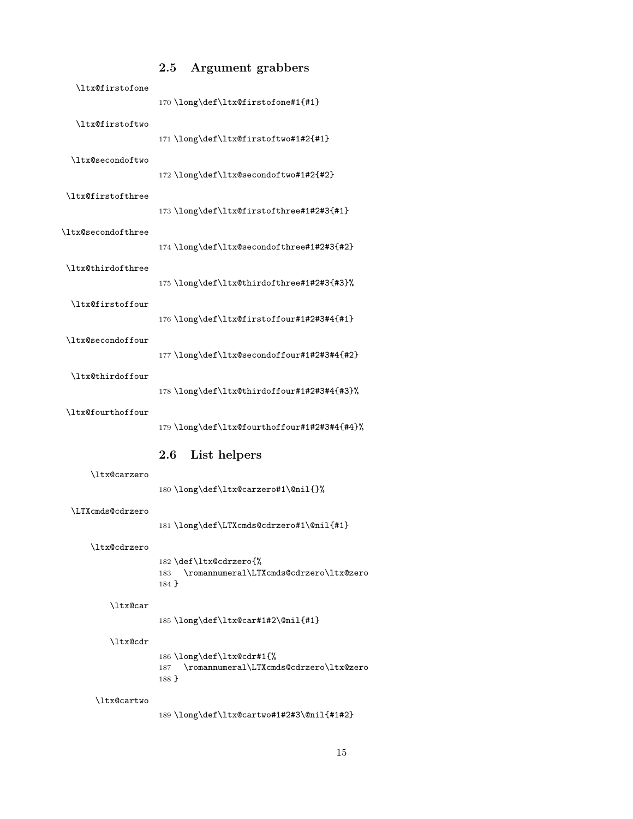<span id="page-14-20"></span><span id="page-14-19"></span><span id="page-14-18"></span><span id="page-14-17"></span><span id="page-14-16"></span><span id="page-14-15"></span><span id="page-14-14"></span><span id="page-14-13"></span><span id="page-14-12"></span><span id="page-14-11"></span><span id="page-14-0"></span>

|                    | $2.5\,$  | <b>Argument grabbers</b>                                                |
|--------------------|----------|-------------------------------------------------------------------------|
| \ltx@firstofone    |          | 170 \long\def\ltx@firstofone#1{#1}                                      |
| \ltx@firstoftwo    |          | 171 \long\def\ltx@firstoftwo#1#2{#1}                                    |
| \ltx@secondoftwo   |          | 172 \long\def\ltx@secondoftwo#1#2{#2}                                   |
| \ltx@firstofthree  |          | 173\long\def\ltx@firstofthree#1#2#3{#1}                                 |
| \ltx@secondofthree |          | 174 \long\def\ltx@secondofthree#1#2#3{#2}                               |
| \ltx@thirdofthree  |          | 175 \long\def\ltx@thirdofthree#1#2#3{#3}%                               |
| \ltx@firstoffour   |          | 176 \long\def\ltx@firstoffour#1#2#3#4{#1}                               |
| \ltx@secondoffour  |          | 177 \long\def\ltx@secondoffour#1#2#3#4{#2}                              |
| \ltx@thirdoffour   |          | 178 \long\def\ltx@thirdoffour#1#2#3#4{#3}%                              |
| \ltx@fourthoffour  |          | 179 \long\def\ltx@fourthoffour#1#2#3#4{#4}%                             |
|                    | $2.6\,$  | List helpers                                                            |
| \ltx@carzero       |          | 180\long\def\ltx@carzero#1\@nil{}%                                      |
| \LTXcmds@cdrzero   |          | 181\long\def\LTXcmds@cdrzero#1\@nil{#1}                                 |
| \ltx@cdrzero       | $184$ }  | 182 \def\ltx@cdrzero{%<br>183 \romannumeral\LTXcmds@cdrzero\ltx@zero    |
| \ltx@car           |          | 185\long\def\ltx@car#1#2\@nil{#1}                                       |
| \ltx@cdr           |          |                                                                         |
|                    | $188 \}$ | 186 \long\def\ltx@cdr#1{%<br>187 \romannumeral\LTXcmds@cdrzero\ltx@zero |
| \ltx@cartwo        |          | 189 \long\def\ltx@cartwo#1#2#3\@nil{#1#2}                               |

# <span id="page-14-23"></span><span id="page-14-22"></span><span id="page-14-21"></span><span id="page-14-10"></span><span id="page-14-9"></span><span id="page-14-8"></span><span id="page-14-7"></span><span id="page-14-6"></span><span id="page-14-5"></span><span id="page-14-4"></span><span id="page-14-3"></span><span id="page-14-2"></span><span id="page-14-1"></span>15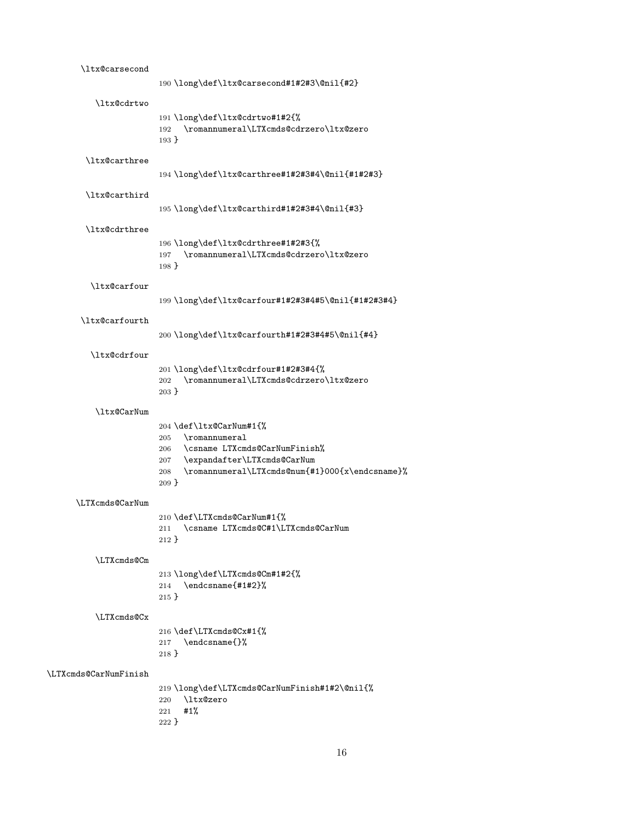<span id="page-15-29"></span><span id="page-15-28"></span><span id="page-15-27"></span><span id="page-15-26"></span><span id="page-15-25"></span><span id="page-15-24"></span><span id="page-15-23"></span><span id="page-15-22"></span><span id="page-15-21"></span><span id="page-15-20"></span><span id="page-15-19"></span><span id="page-15-18"></span><span id="page-15-17"></span><span id="page-15-16"></span><span id="page-15-15"></span><span id="page-15-14"></span><span id="page-15-13"></span><span id="page-15-12"></span><span id="page-15-11"></span><span id="page-15-10"></span><span id="page-15-9"></span><span id="page-15-8"></span><span id="page-15-7"></span><span id="page-15-6"></span><span id="page-15-5"></span><span id="page-15-4"></span><span id="page-15-3"></span><span id="page-15-2"></span><span id="page-15-1"></span><span id="page-15-0"></span>

| \ltx@carsecond        | 190\long\def\ltx@carsecond#1#2#3\@nil{#2}                                                                                                                                                       |
|-----------------------|-------------------------------------------------------------------------------------------------------------------------------------------------------------------------------------------------|
| \ltx@cdrtwo           |                                                                                                                                                                                                 |
|                       | 191 \long\def\ltx@cdrtwo#1#2{%<br>\romannumeral\LTXcmds@cdrzero\ltx@zero<br>192<br>$193 \}$                                                                                                     |
| \ltx@carthree         | 194 \long\def\ltx@carthree#1#2#3#4\@nil{#1#2#3}                                                                                                                                                 |
| \ltx@carthird         |                                                                                                                                                                                                 |
|                       | 195 \long\def\ltx@carthird#1#2#3#4\@nil{#3}                                                                                                                                                     |
| \ltx@cdrthree         | 196 \long\def\ltx@cdrthree#1#2#3{%<br>\romannumeral\LTXcmds@cdrzero\ltx@zero<br>197<br>$198 \}$                                                                                                 |
| \ltx@carfour          | 199 \long\def\ltx@carfour#1#2#3#4#5\@nil{#1#2#3#4}                                                                                                                                              |
| \ltx@carfourth        | 200\long\def\ltx@carfourth#1#2#3#4#5\@nil{#4}                                                                                                                                                   |
| \ltx@cdrfour          |                                                                                                                                                                                                 |
|                       | 201 \long\def\ltx@cdrfour#1#2#3#4{%<br>\romannumeral\LTXcmds@cdrzero\ltx@zero<br>202<br>$203 \}$                                                                                                |
| \ltx@CarNum           |                                                                                                                                                                                                 |
|                       | 204 \def\ltx@CarNum#1{%<br>\romannumeral<br>205<br>\csname LTXcmds@CarNumFinish%<br>206<br>\expandafter\LTXcmds@CarNum<br>207<br>\romannumeral\LTXcmds@num{#1}000{x\endcsname}%<br>208<br>209 } |
| \LTXcmds@CarNum       |                                                                                                                                                                                                 |
|                       | 210 \def\LTXcmds@CarNum#1{%<br>\csname LTXcmds@C#1\LTXcmds@CarNum<br>211<br>$212$ }                                                                                                             |
| \LTXcmds@Cm           |                                                                                                                                                                                                 |
|                       | 213 \long\def\LTXcmds@Cm#1#2{%<br>\endcsname{#1#2}%<br>214<br>$215$ }                                                                                                                           |
| \LTXcmds@Cx           |                                                                                                                                                                                                 |
|                       | 216 \def\LTXcmds@Cx#1{%<br>\endcsname{}%<br>217<br>218 }                                                                                                                                        |
| \LTXcmds@CarNumFinish |                                                                                                                                                                                                 |
|                       | 219 \long\def\LTXcmds@CarNumFinish#1#2\@nil{%<br>\ltx@zero<br>220<br>#1%<br>221<br>222 }                                                                                                        |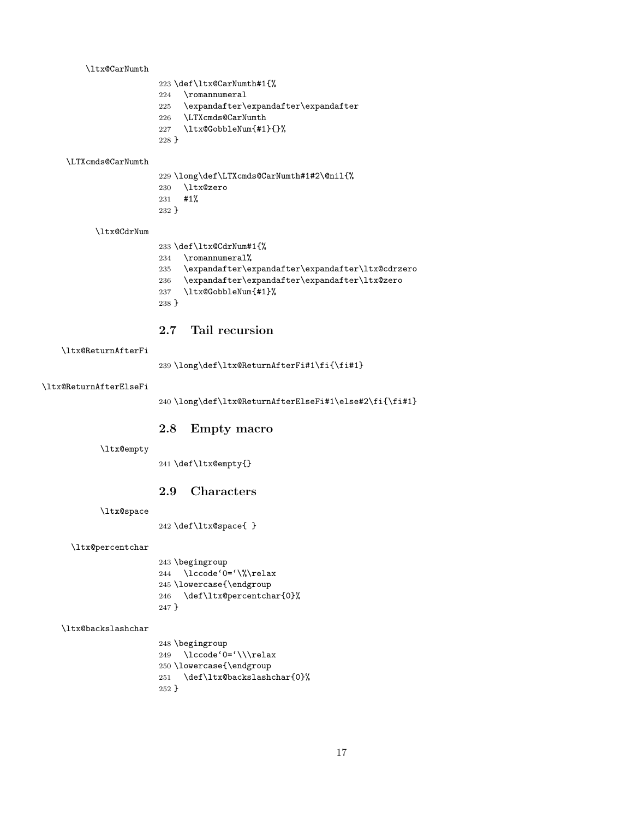#### <span id="page-16-9"></span>\ltx@CarNumth

- \def\ltx@CarNumth#1{%
- <span id="page-16-23"></span>\romannumeral
- \expandafter\expandafter\expandafter
- <span id="page-16-21"></span>\LTXcmds@CarNumth
- <span id="page-16-13"></span>\ltx@GobbleNum{#1}{}%
- }

#### <span id="page-16-22"></span>\LTXcmds@CarNumth

- <span id="page-16-19"></span><span id="page-16-4"></span> \long\def\LTXcmds@CarNumth#1#2\@nil{% \ltx@zero #1% }
- 

#### <span id="page-16-10"></span>\ltx@CdrNum

- \def\ltx@CdrNum#1{%
- <span id="page-16-24"></span>\romannumeral%
- <span id="page-16-11"></span>\expandafter\expandafter\expandafter\ltx@cdrzero
- <span id="page-16-20"></span>\expandafter\expandafter\expandafter\ltx@zero
- <span id="page-16-14"></span>\ltx@GobbleNum{#1}%
- }

## <span id="page-16-0"></span>2.7 Tail recursion

#### <span id="page-16-17"></span>\ltx@ReturnAfterFi

\long\def\ltx@ReturnAfterFi#1\fi{\fi#1}

#### <span id="page-16-16"></span>\ltx@ReturnAfterElseFi

\long\def\ltx@ReturnAfterElseFi#1\else#2\fi{\fi#1}

### <span id="page-16-1"></span>2.8 Empty macro

#### <span id="page-16-12"></span>\ltx@empty

\def\ltx@empty{}

### <span id="page-16-2"></span>2.9 Characters

<span id="page-16-18"></span>\ltx@space

\def\ltx@space{ }

#### <span id="page-16-15"></span>\ltx@percentchar

<span id="page-16-6"></span><span id="page-16-3"></span> \begingroup \lccode'0='\%\relax \lowercase{\endgroup \def\ltx@percentchar{0}% }

#### <span id="page-16-8"></span>\ltx@backslashchar

<span id="page-16-7"></span><span id="page-16-5"></span> \begingroup \lccode'0='\\\relax \lowercase{\endgroup \def\ltx@backslashchar{0}% }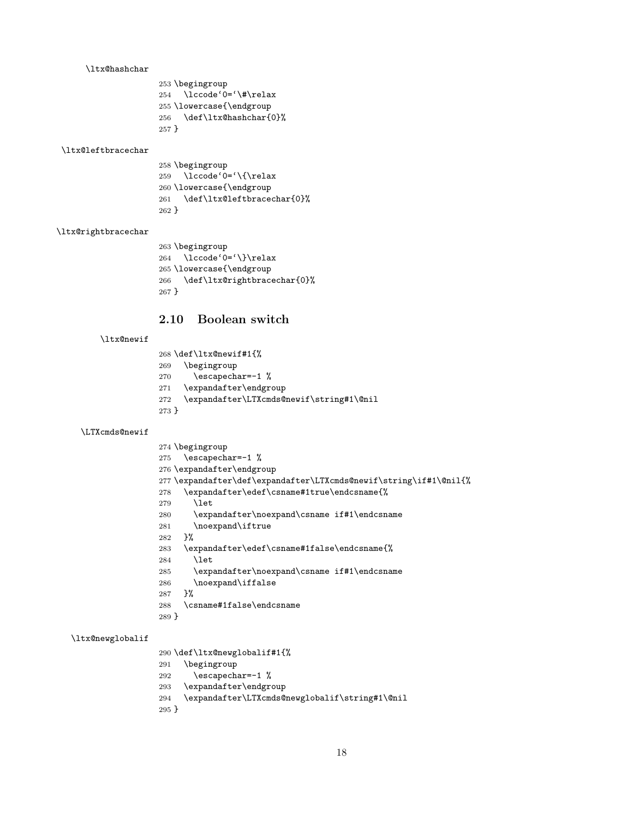#### <span id="page-17-20"></span>\ltx@hashchar

```
253 \begingroup
254 \lccode'0='\#\relax
255 \lowercase{\endgroup
256 \def\ltx@hashchar{0}%
257 }
```
#### <span id="page-17-21"></span>\ltx@leftbracechar

<span id="page-17-18"></span><span id="page-17-5"></span> \begingroup \lccode'0='\{\relax \lowercase{\endgroup \def\ltx@leftbracechar{0}% }

### <span id="page-17-24"></span>\ltx@rightbracechar

<span id="page-17-19"></span><span id="page-17-6"></span> \begingroup \lccode'0='\}\relax \lowercase{\endgroup \def\ltx@rightbracechar{0}% }

## <span id="page-17-0"></span>2.10 Boolean switch

#### <span id="page-17-23"></span>\ltx@newif

```
268 \def\ltx@newif#1{%
269 \begingroup
270 \escapechar=-1 %
271 \expandafter\endgroup
272 \expandafter\LTXcmds@newif\string#1\@nil
273 }
```
#### <span id="page-17-25"></span>\LTXcmds@newif

```
274 \begingroup
275 \escapechar=-1 %
276 \expandafter\endgroup
277 \expandafter\def\expandafter\LTXcmds@newif\string\if#1\@nil{%
278 \expandafter\edef\csname#1true\endcsname{%
279 \let
280 \expandafter\noexpand\csname if#1\endcsname
281 \noexpand\iftrue
282 }%
283 \expandafter\edef\csname#1false\endcsname{%
284 \let
285 \expandafter\noexpand\csname if#1\endcsname
286 \noexpand\iffalse
287 }%
288 \csname#1false\endcsname
289 }
```
## <span id="page-17-22"></span>\ltx@newglobalif

<span id="page-17-15"></span><span id="page-17-11"></span><span id="page-17-10"></span>\def\ltx@newglobalif#1{%

```
291 \begingroup
```

```
292 \escapechar=-1 %
```

```
293 \expandafter\endgroup
```
<span id="page-17-4"></span>\expandafter\LTXcmds@newglobalif\string#1\@nil

```
295 }
```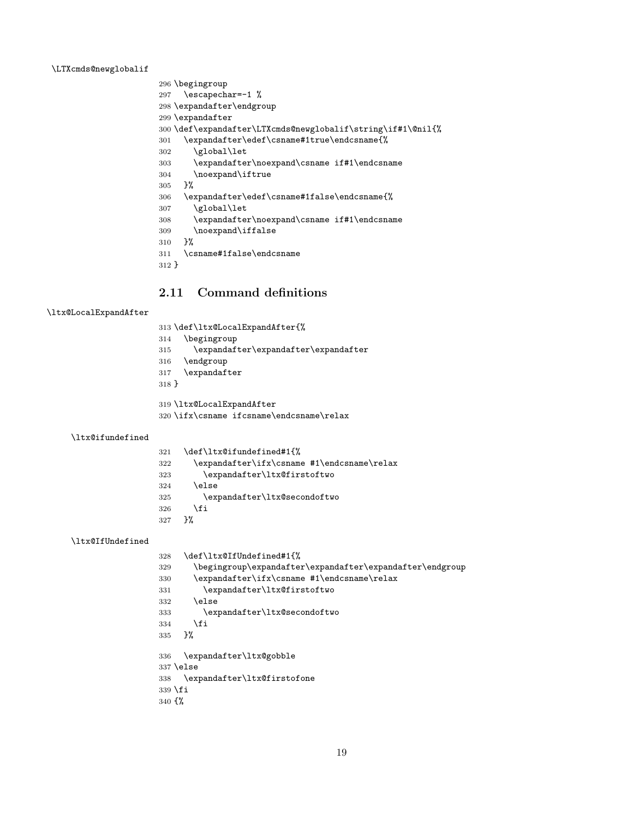<span id="page-18-23"></span>\LTXcmds@newglobalif

```
296 \begingroup
297 \escapechar=-1 %
298 \expandafter\endgroup
299 \expandafter
300 \def\expandafter\LTXcmds@newglobalif\string\if#1\@nil{%
301 \expandafter\edef\csname#1true\endcsname{%
302 \qquad \texttt{\texttt{global\let}}303 \expandafter\noexpand\csname if#1\endcsname
304 \noexpand\iftrue
305 }%
306 \expandafter\edef\csname#1false\endcsname{%
307 \global\let
308 \expandafter\noexpand\csname if#1\endcsname
309 \noexpand\iffalse
310 }%
311 \csname#1false\endcsname
312 }
```
## <span id="page-18-11"></span><span id="page-18-6"></span><span id="page-18-5"></span><span id="page-18-4"></span><span id="page-18-0"></span>2.11 Command definitions

### <span id="page-18-19"></span>\ltx@LocalExpandAfter

\def\ltx@LocalExpandAfter{%

- \begingroup
- $315 \qquad \verb|\expandafter\expandafter\expandafter|$
- \endgroup
- \expandafter
- }

<span id="page-18-20"></span>\ltx@LocalExpandAfter

<span id="page-18-7"></span>\ifx\csname ifcsname\endcsname\relax

### <span id="page-18-18"></span>\ltx@ifundefined

<span id="page-18-21"></span><span id="page-18-14"></span><span id="page-18-8"></span>

| 321 | \def\ltx@ifundefined#1{%                   |
|-----|--------------------------------------------|
| 322 | \expandafter\ifx\csname #1\endcsname\relax |
| 323 | \expandafter\ltx@firstoftwo                |
| 324 | \else                                      |
| 325 | \expandafter\ltx@secondoftwo               |
| 326 | \fi                                        |
| 327 | ጉ%                                         |
|     |                                            |

### <span id="page-18-17"></span>\ltx@IfUndefined

<span id="page-18-22"></span><span id="page-18-16"></span><span id="page-18-15"></span><span id="page-18-13"></span><span id="page-18-9"></span>

| 328               | \def\ltx@IfUndefined#1{%                                 |
|-------------------|----------------------------------------------------------|
| 329               | \begingroup\expandafter\expandafter\expandafter\endgroup |
| 330               | \expandafter\ifx\csname #1\endcsname\relax               |
| 331               | \expandafter\ltx@firstoftwo                              |
| 332               | \else                                                    |
| 333               | \expandafter\ltx@secondoftwo                             |
| 334               | \fi                                                      |
| 335               | ጉ%                                                       |
| 336               | \expandafter\ltx@gobble                                  |
|                   | $337$ \else                                              |
| 338               | \expandafter\ltx@firstofone                              |
|                   | $339$ \fi                                                |
| 340 $\frac{1}{6}$ |                                                          |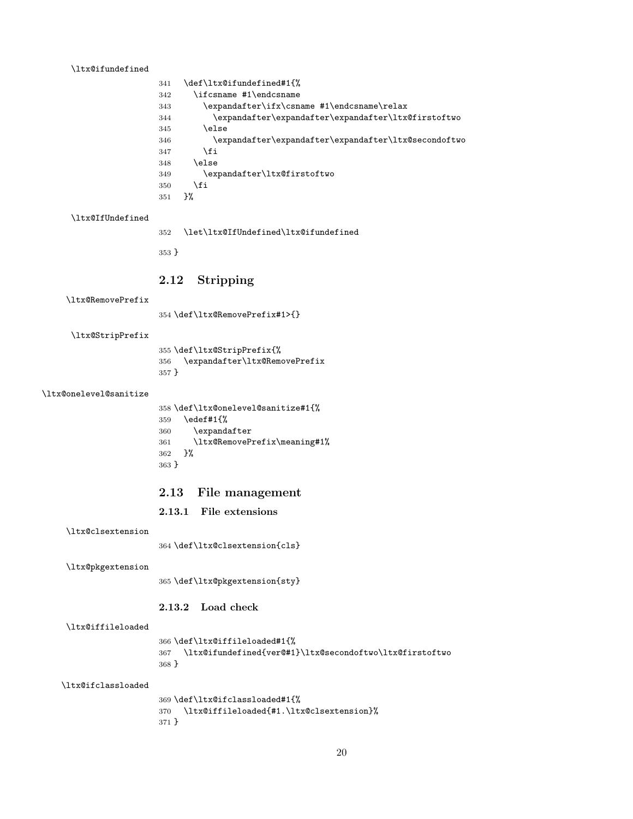### <span id="page-19-14"></span>\ltx@ifundefined

<span id="page-19-21"></span><span id="page-19-8"></span><span id="page-19-5"></span><span id="page-19-4"></span>

| 341 | \def\ltx@ifundefined#1{%                             |
|-----|------------------------------------------------------|
| 342 | \ifcsname #1\endcsname                               |
| 343 | \expandafter\ifx\csname #1\endcsname\relax           |
| 344 | \expandafter\expandafter\expandafter\ltx@firstoftwo  |
| 345 | \else                                                |
| 346 | \expandafter\expandafter\expandafter\ltx@secondoftwo |
| 347 | \fi                                                  |
| 348 | \else                                                |
| 349 | \expandafter\ltx@firstoftwo                          |
| 350 | \fi                                                  |
| 351 | ን%                                                   |

#### <span id="page-19-13"></span>\ltx@IfUndefined

<span id="page-19-15"></span><span id="page-19-9"></span>\let\ltx@IfUndefined\ltx@ifundefined

}

## <span id="page-19-0"></span>2.12 Stripping

<span id="page-19-18"></span>\ltx@RemovePrefix

\def\ltx@RemovePrefix#1>{}

<span id="page-19-22"></span>\ltx@StripPrefix

<span id="page-19-19"></span> \def\ltx@StripPrefix{% \expandafter\ltx@RemovePrefix }

#### <span id="page-19-16"></span>\ltx@onelevel@sanitize

```
358 \def\ltx@onelevel@sanitize#1{%
359 \edef#1{%
360 \expandafter
361 \ltx@RemovePrefix\meaning#1%
362 }%
363 }
```
### <span id="page-19-1"></span>2.13 File management

## <span id="page-19-2"></span>2.13.1 File extensions

<span id="page-19-6"></span>\ltx@clsextension

\def\ltx@clsextension{cls}

<span id="page-19-17"></span>\ltx@pkgextension

\def\ltx@pkgextension{sty}

### <span id="page-19-3"></span>2.13.2 Load check

#### <span id="page-19-12"></span>\ltx@iffileloaded

<span id="page-19-10"></span> \def\ltx@iffileloaded#1{% \ltx@ifundefined{ver@#1}\ltx@secondoftwo\ltx@firstoftwo }

#### <span id="page-19-11"></span>\ltx@ifclassloaded

```
369 \def\ltx@ifclassloaded#1{%
370 \ltx@iffileloaded{#1.\ltx@clsextension}%
371 }
```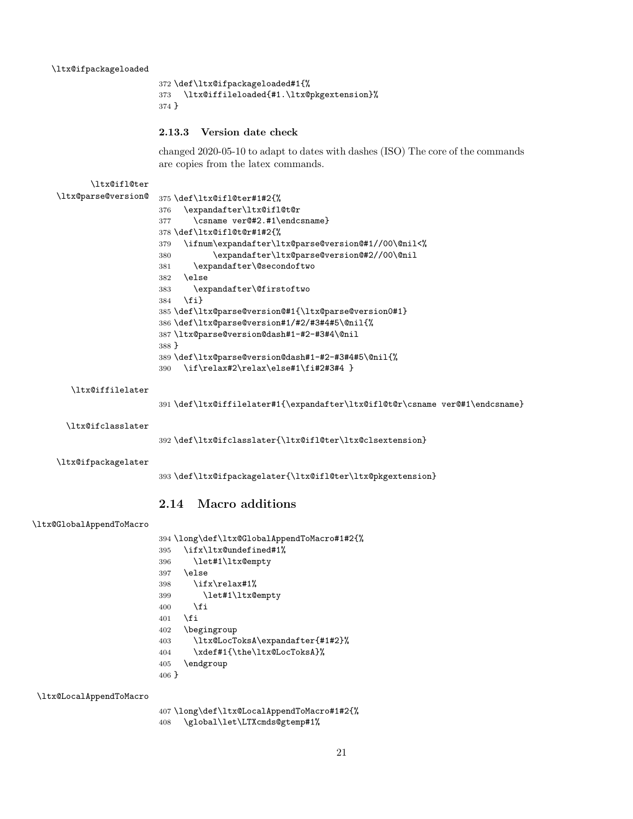```
372 \def\ltx@ifpackageloaded#1{%
373 \ltx@iffileloaded{#1.\ltx@pkgextension}%
374 }
```
#### <span id="page-20-0"></span>2.13.3 Version date check

<span id="page-20-22"></span><span id="page-20-21"></span><span id="page-20-9"></span><span id="page-20-8"></span><span id="page-20-4"></span><span id="page-20-3"></span>changed 2020-05-10 to adapt to dates with dashes (ISO) The core of the commands are copies from the latex commands.

```
\ltx@ifl@ter
```

```
\ltx@parse@version@ 375 \def\ltx@ifl@ter#1#2{%
                    376 \expandafter\ltx@ifl@t@r
                    377 \csname ver@#2.#1\endcsname}
                    378 \def\ltx@ifl@t@r#1#2{%
                    379 \ifnum\expandafter\ltx@parse@version@#1//00\@nil<%
                    380 \expandafter\ltx@parse@version@#2//00\@nil
                    381 \expandafter\@secondoftwo
                    382 \else
                    383 \expandafter\@firstoftwo
                    384 \fi}
                    385 \def\ltx@parse@version@#1{\ltx@parse@version0#1}
                    386 \def\ltx@parse@version#1/#2/#3#4#5\@nil{%
                    387 \ltx@parse@version@dash#1-#2-#3#4\@nil
                    388 }
                    389 \def\ltx@parse@version@dash#1-#2-#3#4#5\@nil{%
                    390 \if\relax#2\relax\else#1\fi#2#3#4 }
```
#### <span id="page-20-19"></span>\ltx@iffilelater

<span id="page-20-30"></span><span id="page-20-11"></span><span id="page-20-10"></span><span id="page-20-7"></span><span id="page-20-6"></span><span id="page-20-5"></span><span id="page-20-2"></span>\def\ltx@iffilelater#1{\expandafter\ltx@ifl@t@r\csname ver@#1\endcsname}

<span id="page-20-18"></span>\ltx@ifclasslater

<span id="page-20-14"></span>\def\ltx@ifclasslater{\ltx@ifl@ter\ltx@clsextension}

<span id="page-20-25"></span>\ltx@ifpackagelater

<span id="page-20-24"></span>\def\ltx@ifpackagelater{\ltx@ifl@ter\ltx@pkgextension}

## <span id="page-20-1"></span>2.14 Macro additions

```
\ltx@GlobalAppendToMacro
```

```
394 \long\def\ltx@GlobalAppendToMacro#1#2{%
395 \ifx\ltx@undefined#1%
396 \let#1\ltx@empty
397 \else
398 \ifx\relax#1%
399 \let#1\ltx@empty
400 \fi
401 \fi
402 \begingroup
403 \ltx@LocToksA\expandafter{#1#2}%
404 \xdef#1{\the\ltx@LocToksA}%
405 \endgroup
406 }
```
<span id="page-20-27"></span>\ltx@LocalAppendToMacro

```
407 \long\def\ltx@LocalAppendToMacro#1#2{%
408 \global\let\LTXcmds@gtemp#1%
```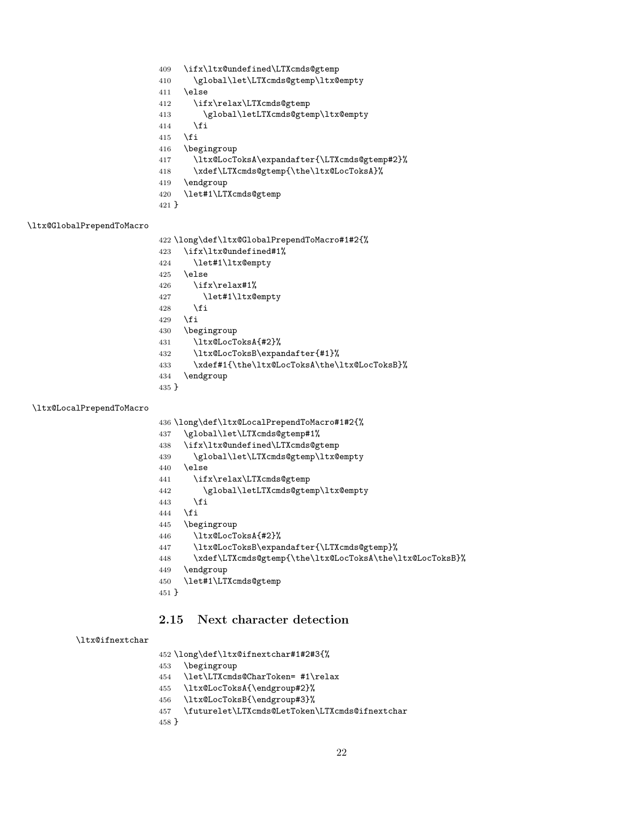<span id="page-21-10"></span><span id="page-21-8"></span><span id="page-21-3"></span><span id="page-21-2"></span> \ifx\ltx@undefined\LTXcmds@gtemp \global\let\LTXcmds@gtemp\ltx@empty \else \ifx\relax\LTXcmds@gtemp \global\letLTXcmds@gtemp\ltx@empty \fi \fi \begingroup \ltx@LocToksA\expandafter{\LTXcmds@gtemp#2}% \xdef\LTXcmds@gtemp{\the\ltx@LocToksA}% \endgroup \let#1\LTXcmds@gtemp }

#### <span id="page-21-14"></span>\ltx@GlobalPrependToMacro

<span id="page-21-28"></span><span id="page-21-18"></span><span id="page-21-17"></span>\long\def\ltx@GlobalPrependToMacro#1#2{%

- <span id="page-21-4"></span>\ifx\ltx@undefined#1%
- <span id="page-21-11"></span>\let#1\ltx@empty
- \else
- <span id="page-21-5"></span>\ifx\relax#1%
- <span id="page-21-12"></span>\let#1\ltx@empty
- 428  $\setminus$ fi
- \fi
- \begingroup
- <span id="page-21-19"></span>\ltx@LocToksA{#2}%
- <span id="page-21-24"></span>\ltx@LocToksB\expandafter{#1}%
- <span id="page-21-20"></span>\xdef#1{\the\ltx@LocToksA\the\ltx@LocToksB}%
- \endgroup
- }

### <span id="page-21-16"></span>\ltx@LocalPrependToMacro

<span id="page-21-29"></span><span id="page-21-13"></span><span id="page-21-9"></span><span id="page-21-7"></span><span id="page-21-6"></span>

|         | 436 \long\def\ltx@LocalPrependToMacro#1#2{%              |
|---------|----------------------------------------------------------|
| 437     | \global\let\LTXcmds@gtemp#1%                             |
| 438     | \ifx\ltx@undefined\LTXcmds@gtemp                         |
| 439     | \global\let\LTXcmds@gtemp\ltx@empty                      |
| 440     | \else                                                    |
| 441     | \ifx\relax\LTXcmds@gtemp                                 |
| 442     | \global\letLTXcmds@gtemp\ltx@empty                       |
| 443     | \fi                                                      |
| 444     | \fi                                                      |
| 445     | \begingroup                                              |
| 446     | \ltx@LocToksA{#2}%                                       |
| 447     | \ltx@LocToksB\expandafter{\LTXcmds@gtemp}%               |
| 448     | \xdef\LTXcmds@gtemp{\the\ltx@LocToksA\the\ltx@LocToksB}% |
| 449     | \endgroup                                                |
| 450     | \let#1\LTXcmds@gtemp                                     |
| $451$ } |                                                          |
|         |                                                          |

## <span id="page-21-30"></span><span id="page-21-25"></span><span id="page-21-22"></span><span id="page-21-21"></span><span id="page-21-0"></span>2.15 Next character detection

### <span id="page-21-15"></span>\ltx@ifnextchar

\long\def\ltx@ifnextchar#1#2#3{%

- \begingroup
- <span id="page-21-27"></span>\let\LTXcmds@CharToken= #1\relax
- <span id="page-21-23"></span>\ltx@LocToksA{\endgroup#2}%
- <span id="page-21-26"></span>\ltx@LocToksB{\endgroup#3}%
- <span id="page-21-1"></span>\futurelet\LTXcmds@LetToken\LTXcmds@ifnextchar
- }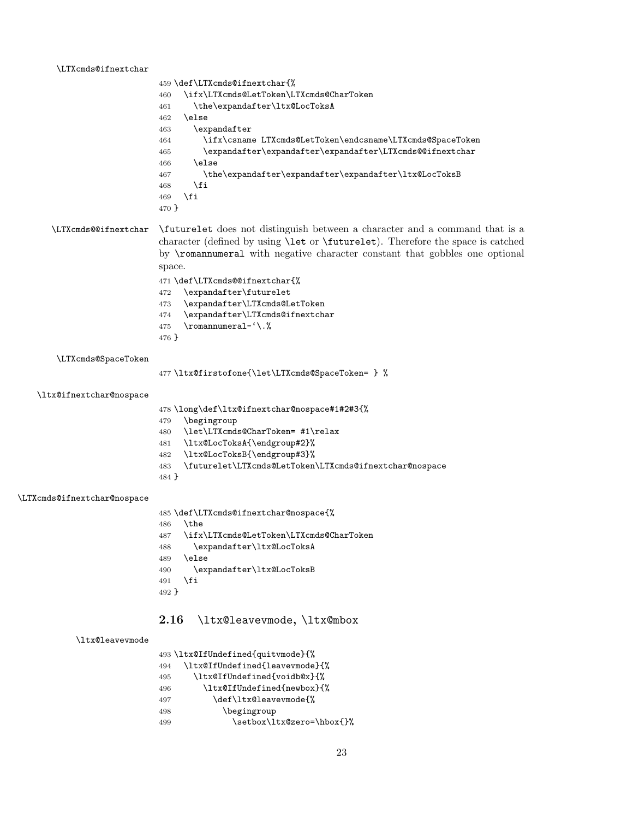#### <span id="page-22-24"></span>\LTXcmds@ifnextchar

<span id="page-22-21"></span><span id="page-22-18"></span><span id="page-22-15"></span><span id="page-22-6"></span><span id="page-22-2"></span>

|       | 459 \def\LTXcmds@ifnextchar{%                             |
|-------|-----------------------------------------------------------|
| 460   | \ifx\LTXcmds@LetToken\LTXcmds@CharToken                   |
| 461   | \the\expandafter\ltx@LocToksA                             |
| 462   | \else                                                     |
| 463   | $\verb \expandafter $                                     |
| 464   | \ifx\csname LTXcmds@LetToken\endcsname\LTXcmds@SpaceToken |
| 465   | \expandafter\expandafter\expandafter\LTXcmds@@ifnextchar  |
| 466   | \else                                                     |
| 467   | \the\expandafter\expandafter\expandafter\ltx@LocToksB     |
| 468   | \fi                                                       |
| 469   | \fi                                                       |
| 470 } |                                                           |

## <span id="page-22-22"></span>\LTXcmds@@ifnextchar \futurelet does not distinguish between a character and a command that is a character (defined by using \let or \futurelet). Therefore the space is catched by \romannumeral with negative character constant that gobbles one optional space.

\def\LTXcmds@@ifnextchar{%

- <span id="page-22-3"></span>\expandafter\futurelet
- <span id="page-22-27"></span>\expandafter\LTXcmds@LetToken
- <span id="page-22-25"></span>\expandafter\LTXcmds@ifnextchar
- <span id="page-22-1"></span>\romannumeral-'\.%
- }

<span id="page-22-28"></span>\LTXcmds@SpaceToken

<span id="page-22-8"></span>\ltx@firstofone{\let\LTXcmds@SpaceToken= } %

<span id="page-22-9"></span>\ltx@ifnextchar@nospace

\long\def\ltx@ifnextchar@nospace#1#2#3{%

- \begingroup
- <span id="page-22-23"></span>\let\LTXcmds@CharToken= #1\relax
- 
- <span id="page-22-16"></span>\ltx@LocToksA{\endgroup#2}%
- <span id="page-22-19"></span>\ltx@LocToksB{\endgroup#3}%
- <span id="page-22-4"></span>\futurelet\LTXcmds@LetToken\LTXcmds@ifnextchar@nospace
- }

#### <span id="page-22-26"></span>\LTXcmds@ifnextchar@nospace

\def\LTXcmds@ifnextchar@nospace{%

- <span id="page-22-29"></span>\the
- <span id="page-22-7"></span>\ifx\LTXcmds@LetToken\LTXcmds@CharToken
- <span id="page-22-17"></span>\expandafter\ltx@LocToksA
- \else
- <span id="page-22-20"></span>\expandafter\ltx@LocToksB
- \fi
- }

## <span id="page-22-0"></span>2.16 \ltx@leavevmode, \ltx@mbox

#### <span id="page-22-14"></span>\ltx@leavevmode

<span id="page-22-10"></span>

|               | 493 \ltx@IfUndefined{quitvmode}{%                                                                                                                  |
|---------------|----------------------------------------------------------------------------------------------------------------------------------------------------|
|               |                                                                                                                                                    |
| $\sim$ $\sim$ | $\lambda$ 1+ $ \lambda$ T $\epsilon$ II, $\lambda$ $\epsilon$ $\lambda$ $\ldots$ $\lambda$ $\Gamma$ $\ldots$ $\ldots$ $\ldots$ $\lambda$ $\lambda$ |

- <span id="page-22-12"></span><span id="page-22-11"></span> \ltx@IfUndefined{leavevmode}{% \ltx@IfUndefined{voidb@x}{%
- <span id="page-22-13"></span>\ltx@IfUndefined{newbox}{%
- \def\ltx@leavevmode{%
- \begingroup
- <span id="page-22-5"></span>499 \setbox\ltx@zero=\hbox{}%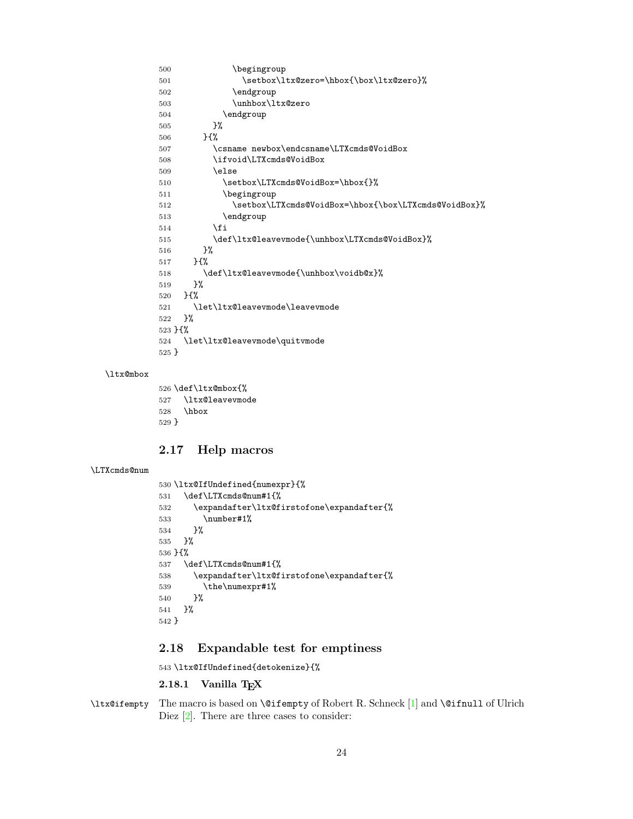```
500 \begingroup
501 \setbox\ltx@zero=\hbox{\box\ltx@zero}%
502 \endgroup
503 \unhbox\ltx@zero
504 \endgroup
505 }%
506 }{%
507 \csname newbox\endcsname\LTXcmds@VoidBox
508 \ifvoid\LTXcmds@VoidBox
509 \else
510 \setbox\LTXcmds@VoidBox=\hbox{}%
511 \begingroup
512 \setbox\LTXcmds@VoidBox=\hbox{\box\LTXcmds@VoidBox}%
513 \endgroup
514 \fi
515 \def\ltx@leavevmode{\unhbox\LTXcmds@VoidBox}%
516 }%
517 }{%
518 \def\ltx@leavevmode{\unhbox\voidb@x}%
519 }%
520 }{%
521 \let\ltx@leavevmode\leavevmode
522 }%
523 }{%
524 \let\ltx@leavevmode\quitvmode
525 }
```
### <span id="page-23-23"></span><span id="page-23-19"></span><span id="page-23-16"></span>\ltx@mbox

<span id="page-23-22"></span><span id="page-23-15"></span><span id="page-23-9"></span><span id="page-23-7"></span> \def\ltx@mbox{% \ltx@leavevmode \hbox }

## <span id="page-23-0"></span>2.17 Help macros

```
\LTXcmds@num
```

```
530 \ltx@IfUndefined{numexpr}{%
531 \def\LTXcmds@num#1{%
532 \expandafter\ltx@firstofone\expandafter{%
533 \number#1%
534 }%
535 }%
536 }{%
537 \def\LTXcmds@num#1{%
538 \expandafter\ltx@firstofone\expandafter{%
539 \the\numexpr#1%
540 }%
541 }%
542 }
```
## <span id="page-23-21"></span><span id="page-23-11"></span><span id="page-23-1"></span>2.18 Expandable test for emptiness

<span id="page-23-14"></span>\ltx@IfUndefined{detokenize}{%

#### <span id="page-23-2"></span>2.18.1 Vanilla TFX

<span id="page-23-12"></span>\ltx@ifempty The macro is based on \@ifempty of Robert R. Schneck [\[1\]](#page-28-1) and \@ifnull of Ulrich Diez [\[2\]](#page-28-2). There are three cases to consider: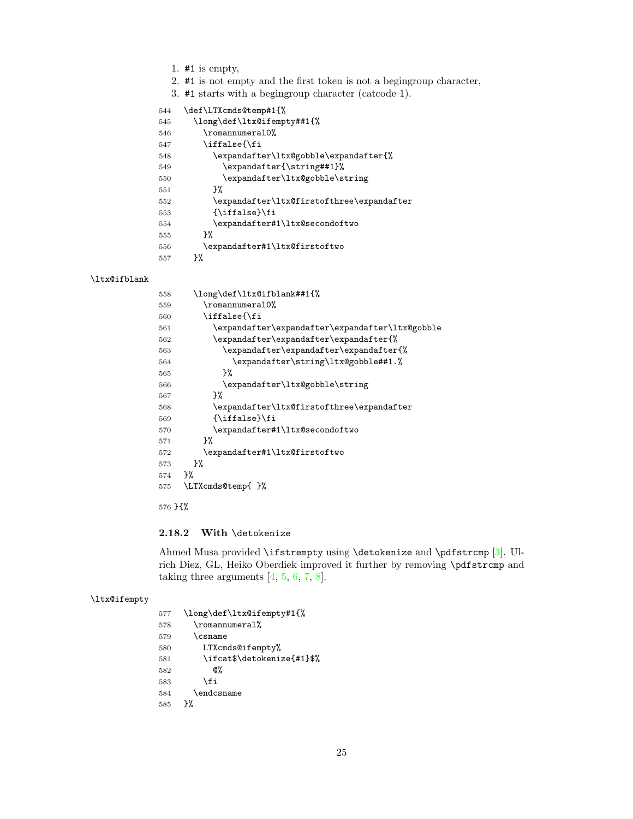- 1. #1 is empty,
- 2. #1 is not empty and the first token is not a begingroup character,
- 3. #1 starts with a begingroup character (catcode 1).

<span id="page-24-23"></span><span id="page-24-21"></span><span id="page-24-13"></span><span id="page-24-12"></span><span id="page-24-8"></span><span id="page-24-4"></span>

| 544 | \def\LTXcmds@temp#1{%                     |
|-----|-------------------------------------------|
| 545 | \long\def\ltx@ifempty##1{%                |
| 546 | \romannumera10%                           |
| 547 | \iffalse{\fi                              |
| 548 | \expandafter\ltx@gobble\expandafter{%     |
| 549 | \expandafter{\string##1}%                 |
| 550 | \expandafter\ltx@gobble\string            |
| 551 | ጉ%                                        |
| 552 | \expandafter\ltx@firstofthree\expandafter |
| 553 | {\iffalse}\fi                             |
| 554 | \expandafter#1\ltx@secondoftwo            |
| 555 | ጉ%                                        |
| 556 | \expandafter#1\ltx@firstoftwo             |
| 557 | ጉ%                                        |

### <span id="page-24-17"></span>\ltx@ifblank

<span id="page-24-24"></span><span id="page-24-19"></span><span id="page-24-16"></span><span id="page-24-15"></span><span id="page-24-14"></span><span id="page-24-10"></span><span id="page-24-6"></span><span id="page-24-5"></span>

| 558 | \long\def\ltx@ifblank##1{%                      |
|-----|-------------------------------------------------|
| 559 | \romannumeral0%                                 |
| 560 | \iffalse{\fi                                    |
| 561 | \expandafter\expandafter\expandafter\ltx@gobble |
| 562 | \expandafter\expandafter\expandafter{%          |
| 563 | \expandafter\expandafter\expandafter{%          |
| 564 | \expandafter\string\ltx@gobble##1.%             |
| 565 | ጉ%                                              |
| 566 | \expandafter\ltx@gobble\string                  |
| 567 | ጉ%                                              |
| 568 | \expandafter\ltx@firstofthree\expandafter       |
| 569 | $\{\i{iffalse}\}$                               |
| 570 | \expandafter#1\ltx@secondoftwo                  |
| 571 | ጉ%                                              |
| 572 | \expandafter#1\ltx@firstoftwo                   |
| 573 | ጉ%                                              |
| 574 | ጉ%                                              |
| 575 | \LTXcmds@temp{}%                                |
|     |                                                 |

<span id="page-24-22"></span><span id="page-24-20"></span><span id="page-24-11"></span><span id="page-24-9"></span><span id="page-24-7"></span>}{%

### <span id="page-24-0"></span>2.18.2 With \detokenize

Ahmed Musa provided \ifstrempty using \detokenize and \pdfstrcmp [\[3\]](#page-28-3). Ulrich Diez, GL, Heiko Oberdiek improved it further by removing \pdfstrcmp and taking three arguments  $[4, 5, 6, 7, 8]$  $[4, 5, 6, 7, 8]$  $[4, 5, 6, 7, 8]$  $[4, 5, 6, 7, 8]$  $[4, 5, 6, 7, 8]$  $[4, 5, 6, 7, 8]$  $[4, 5, 6, 7, 8]$  $[4, 5, 6, 7, 8]$  $[4, 5, 6, 7, 8]$ .

## <span id="page-24-18"></span>\ltx@ifempty

<span id="page-24-25"></span><span id="page-24-3"></span><span id="page-24-2"></span><span id="page-24-1"></span>

| 577 | \long\def\ltx@ifempty#1{%  |
|-----|----------------------------|
| 578 | \romannumeral%             |
| 579 | <b>\csname</b>             |
| 580 | LTXcmds@ifempty%           |
| 581 | \ifcat\$\detokenize{#1}\$% |
| 582 | Q%                         |
| 583 | \fi                        |
| 584 | \endcsname                 |
| 585 | ጉ%                         |
|     |                            |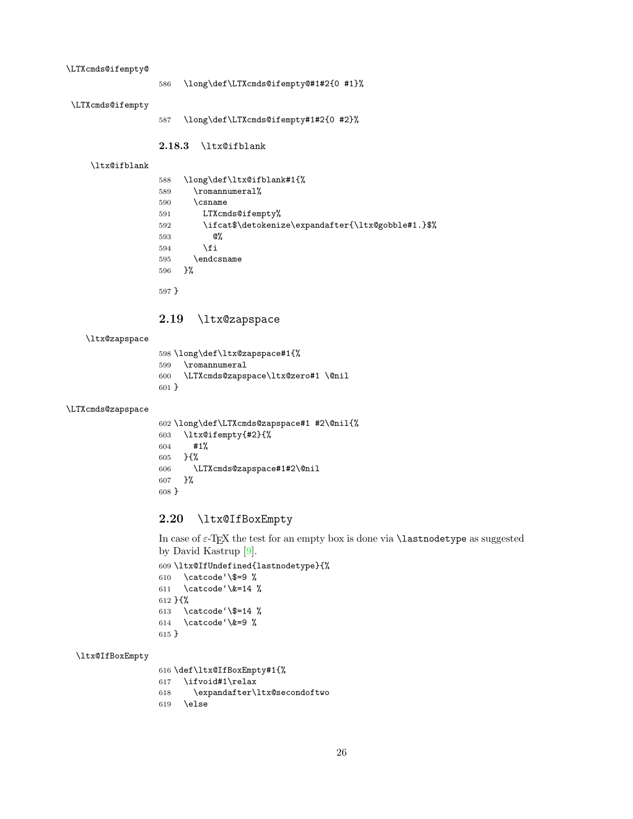#### <span id="page-25-21"></span>\LTXcmds@ifempty@

\long\def\LTXcmds@ifempty@#1#2{0 #1}%

<span id="page-25-20"></span>\LTXcmds@ifempty

\long\def\LTXcmds@ifempty#1#2{0 #2}%

### <span id="page-25-0"></span>2.18.3 \ltx@ifblank

#### <span id="page-25-14"></span>\ltx@ifblank

<span id="page-25-23"></span><span id="page-25-11"></span><span id="page-25-10"></span>

| 588      | \long\def\ltx@ifblank#1{%                          |
|----------|----------------------------------------------------|
| 589      | \romannumeral%                                     |
| 590      | \csname                                            |
| 591      | LTXcmds@ifempty%                                   |
| 592      | \ifcat\$\detokenize\expandafter{\ltx@gobble#1.}\$% |
| 593      | @%                                                 |
| 594      | \fi                                                |
| 595      | \endcsname                                         |
| 596      | ጉ%                                                 |
| $-2 - 7$ |                                                    |

<span id="page-25-12"></span>}

## <span id="page-25-1"></span>2.19 \ltx@zapspace

#### <span id="page-25-19"></span>\ltx@zapspace

<span id="page-25-24"></span><span id="page-25-7"></span> \long\def\ltx@zapspace#1{% \romannumeral \LTXcmds@zapspace\ltx@zero#1 \@nil }

### <span id="page-25-22"></span>\LTXcmds@zapspace

```
602 \long\def\LTXcmds@zapspace#1 #2\@nil{%
603 \ltx@ifempty{#2}{%
604 #1%
605 }{%
606 \LTXcmds@zapspace#1#2\@nil
607 }%
608 }
```
## <span id="page-25-2"></span>2.20 \ltx@IfBoxEmpty

In case of ε-TEX the test for an empty box is done via \lastnodetype as suggested by David Kastrup [\[9\]](#page-28-9).

```
609 \ltx@IfUndefined{lastnodetype}{%
610 \catcode'\$=9 %
611 \catcode'\&=14 %
612 }{%
613 \catcode'\$=14 %
614 \catcode'\&=9 %
615 }
```
### <span id="page-25-15"></span>\ltx@IfBoxEmpty

```
616 \def\ltx@IfBoxEmpty#1{%
617 \ifvoid#1\relax
618 \expandafter\ltx@secondoftwo
619 \else
```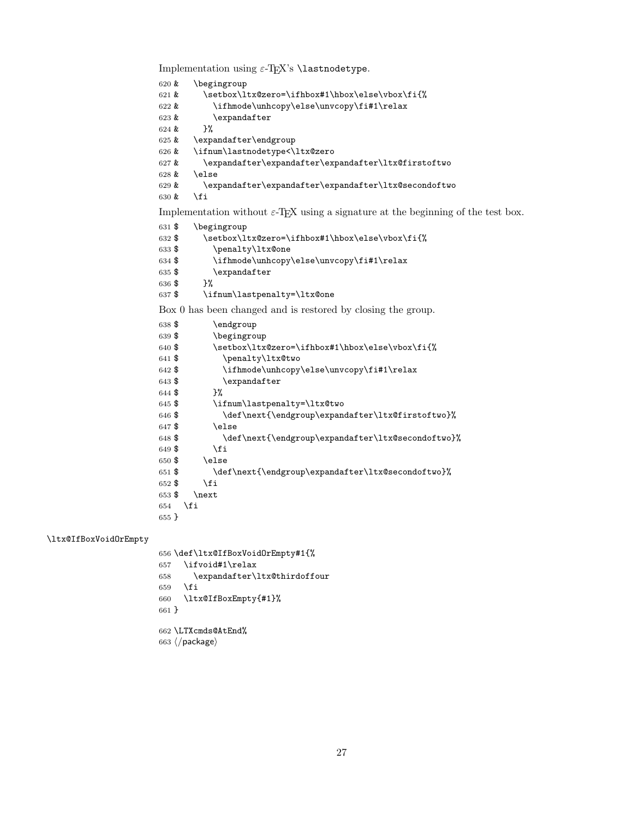<span id="page-26-15"></span><span id="page-26-14"></span><span id="page-26-10"></span><span id="page-26-7"></span><span id="page-26-6"></span><span id="page-26-4"></span><span id="page-26-3"></span><span id="page-26-1"></span><span id="page-26-0"></span>Implementation using  $\varepsilon$ -T<sub>E</sub>X's **\lastnodetype**. & \begingroup 621 & \setbox\ltx@zero=\ifhbox#1\hbox\else\vbox\fi{% & \ifhmode\unhcopy\else\unvcopy\fi#1\relax & \expandafter  $624 \& \frac{\cancel{10}}{624}$  & \expandafter\endgroup & \ifnum\lastnodetype<\ltx@zero & \expandafter\expandafter\expandafter\ltx@firstoftwo  $628 \&$  \else & \expandafter\expandafter\expandafter\ltx@secondoftwo & \fi Implementation without  $\varepsilon$ -T<sub>E</sub>X using a signature at the beginning of the test box. \$ \begingroup 632 \$ \setbox\ltx@zero=\ifhbox#1\hbox\else\vbox\fi{% \$ \penalty\ltx@one \$ \ifhmode\unhcopy\else\unvcopy\fi#1\relax 635 \$ \expandafter \$ }% \$ \ifnum\lastpenalty=\ltx@one Box 0 has been changed and is restored by closing the group. \$ \endgroup \$ \begingroup 640 \$ \setbox\ltx@zero=\ifhbox#1\hbox\else\vbox\fi{% 641 \$ \penalty\ltx@two \$ \ifhmode\unhcopy\else\unvcopy\fi#1\relax \$ \expandafter \$ }% \$ \ifnum\lastpenalty=\ltx@two 646 \$ \def\next{\endgroup\expandafter\ltx@firstoftwo}% \$ \else \$ \def\next{\endgroup\expandafter\ltx@secondoftwo}% \$ \fi \$ \else \$ \def\next{\endgroup\expandafter\ltx@secondoftwo}% \$ \fi \$ \next \fi }

#### <span id="page-26-13"></span>\ltx@IfBoxVoidOrEmpty

<span id="page-26-21"></span><span id="page-26-19"></span><span id="page-26-18"></span><span id="page-26-17"></span><span id="page-26-16"></span><span id="page-26-12"></span><span id="page-26-11"></span><span id="page-26-9"></span><span id="page-26-8"></span><span id="page-26-5"></span><span id="page-26-2"></span> \def\ltx@IfBoxVoidOrEmpty#1{% \ifvoid#1\relax \expandafter\ltx@thirdoffour \fi \ltx@IfBoxEmpty{#1}% } \LTXcmds@AtEnd%

<span id="page-26-20"></span>663  $\langle$ /package $\rangle$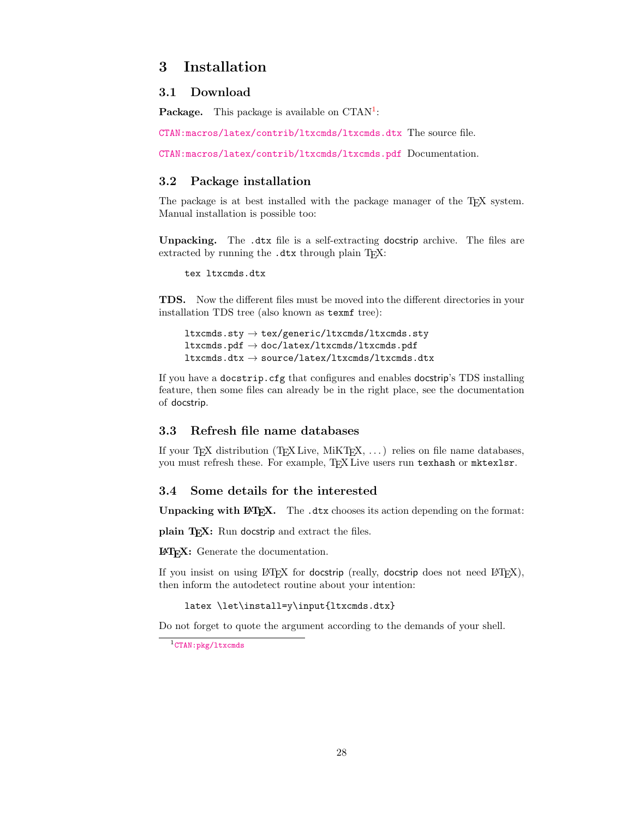## <span id="page-27-0"></span>3 Installation

### <span id="page-27-1"></span>3.1 Download

**Package.** This package is available on  $CTAN^1$  $CTAN^1$ :

[CTAN:macros/latex/contrib/ltxcmds/ltxcmds.dtx](https://ctan.org/tex-archive/macros/latex/contrib/ltxcmds/ltxcmds.dtx) The source file.

[CTAN:macros/latex/contrib/ltxcmds/ltxcmds.pdf](https://ctan.org/tex-archive/macros/latex/contrib/ltxcmds/ltxcmds.pdf) Documentation.

## <span id="page-27-2"></span>3.2 Package installation

The package is at best installed with the package manager of the T<sub>E</sub>X system. Manual installation is possible too:

Unpacking. The .dtx file is a self-extracting docstrip archive. The files are extracted by running the .dtx through plain TFX:

tex ltxcmds.dtx

TDS. Now the different files must be moved into the different directories in your installation TDS tree (also known as texmf tree):

```
ltxcmds.sty \rightarrow tex/generic/ltxcmds/ltxcmds.sty
ltx\ncmds.pdf \rightarrow doc/latex/ltx\ncmds/ltx\ncmds.pdf\verb|ltxcmds.dtx \rightarrow source/lates/ltxcmds/ltxcmds.dtx
```
If you have a docstrip.cfg that configures and enables docstrip's TDS installing feature, then some files can already be in the right place, see the documentation of docstrip.

### <span id="page-27-3"></span>3.3 Refresh file name databases

If your T<sub>E</sub>X distribution (T<sub>E</sub>X Live, MiKT<sub>E</sub>X, ...) relies on file name databases, you must refresh these. For example, TEX Live users run texhash or mktexlsr.

### <span id="page-27-4"></span>3.4 Some details for the interested

Unpacking with LAT<sub>EX</sub>. The .dtx chooses its action depending on the format:

plain T<sub>E</sub>X: Run docstrip and extract the files.

LATEX: Generate the documentation.

If you insist on using  $L^2T_FX$  for docstrip (really, docstrip does not need  $L^2T_FX$ ), then inform the autodetect routine about your intention:

latex \let\install=y\input{ltxcmds.dtx}

Do not forget to quote the argument according to the demands of your shell.

<span id="page-27-5"></span><sup>1&</sup>lt;sub>[CTAN:pkg/ltxcmds](http://ctan.org/pkg/ltxcmds)</sub>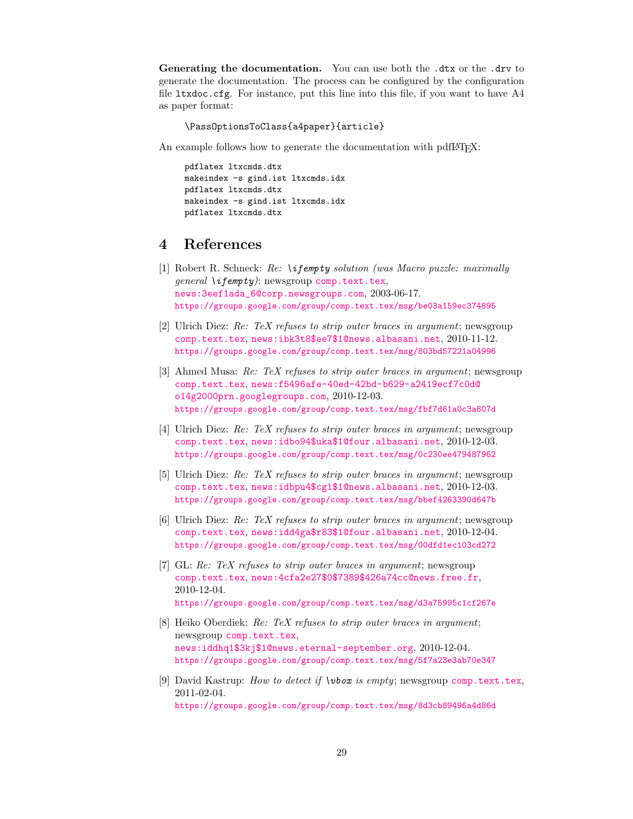Generating the documentation. You can use both the .dtx or the .drv to generate the documentation. The process can be configured by the configuration file ltxdoc.cfg. For instance, put this line into this file, if you want to have A4 as paper format:

\PassOptionsToClass{a4paper}{article}

An example follows how to generate the documentation with pdfIAT<sub>E</sub>X:

pdflatex ltxcmds.dtx makeindex -s gind.ist ltxcmds.idx pdflatex ltxcmds.dtx makeindex -s gind.ist ltxcmds.idx pdflatex ltxcmds.dtx

## <span id="page-28-0"></span>4 References

- <span id="page-28-1"></span>[1] Robert R. Schneck: Re: \ifempty solution (was Macro puzzle: maximally  $general \{if \epsilon m p t v\};$  newsgroup [comp.text.tex](news:comp.text.tex), [news:3eef1ada\\_6@corp.newsgroups.com](news:3eef1ada_6@corp.newsgroups.com), 2003-06-17. <https://groups.google.com/group/comp.text.tex/msg/be03a159ec374895>
- <span id="page-28-2"></span>[2] Ulrich Diez: Re: TeX refuses to strip outer braces in argument; newsgroup [comp.text.tex](news:comp.text.tex), [news:ibk3t8\\$ee7\\$1@news.albasani.net](news:ibk3t8$ee7$1@news.albasani.net), 2010-11-12. <https://groups.google.com/group/comp.text.tex/msg/803bd57221a04996>
- <span id="page-28-3"></span>[3] Ahmed Musa: Re: TeX refuses to strip outer braces in argument; newsgroup [comp.text.tex](news:comp.text.tex), [news:f5496afe-40ed-42bd-b629-a2419ecf7c0d@](news:f5496afe-40ed-42bd-b629-a2419ecf7c0d@o14g2000prn.googlegroups.com) [o14g2000prn.googlegroups.com](news:f5496afe-40ed-42bd-b629-a2419ecf7c0d@o14g2000prn.googlegroups.com), 2010-12-03. <https://groups.google.com/group/comp.text.tex/msg/fbf7d61a0c3a807d>
- <span id="page-28-4"></span>[4] Ulrich Diez: Re: TeX refuses to strip outer braces in argument; newsgroup [comp.text.tex](news:comp.text.tex), [news:idbo94\\$uka\\$1@four.albasani.net](news:idbo94$uka$1@four.albasani.net), 2010-12-03. <https://groups.google.com/group/comp.text.tex/msg/0c230ee479487962>
- <span id="page-28-5"></span>[5] Ulrich Diez: Re: TeX refuses to strip outer braces in argument; newsgroup [comp.text.tex](news:comp.text.tex), [news:idbpu4\\$cg1\\$1@news.albasani.net](news:idbpu4$cg1$1@news.albasani.net), 2010-12-03. <https://groups.google.com/group/comp.text.tex/msg/bbef4263390d647b>
- <span id="page-28-6"></span>[6] Ulrich Diez: Re: TeX refuses to strip outer braces in argument; newsgroup [comp.text.tex](news:comp.text.tex), [news:idd4ga\\$r83\\$1@four.albasani.net](news:idd4ga$r83$1@four.albasani.net), 2010-12-04. <https://groups.google.com/group/comp.text.tex/msg/00dfd1ec103cd272>
- <span id="page-28-7"></span>[7] GL: Re: TeX refuses to strip outer braces in argument; newsgroup [comp.text.tex](news:comp.text.tex), [news:4cfa2e27\\$0\\$7389\\$426a74cc@news.free.fr](news:4cfa2e27$0$7389$426a74cc@news.free.fr), 2010-12-04. <https://groups.google.com/group/comp.text.tex/msg/d3a75995c1cf267e>
- <span id="page-28-8"></span>[8] Heiko Oberdiek: Re: TeX refuses to strip outer braces in argument; newsgroup [comp.text.tex](news:comp.text.tex), [news:iddhq1\\$3kj\\$1@news.eternal-september.org](news:iddhq1$3kj$1@news.eternal-september.org), 2010-12-04. <https://groups.google.com/group/comp.text.tex/msg/5f7a23e3ab70e347>
- <span id="page-28-9"></span>[9] David Kastrup: How to detect if  $\text{vbox}$  is empty; newsgroup [comp.text.tex](news:comp.text.tex), 2011-02-04. <https://groups.google.com/group/comp.text.tex/msg/8d3cb89496a4d86d>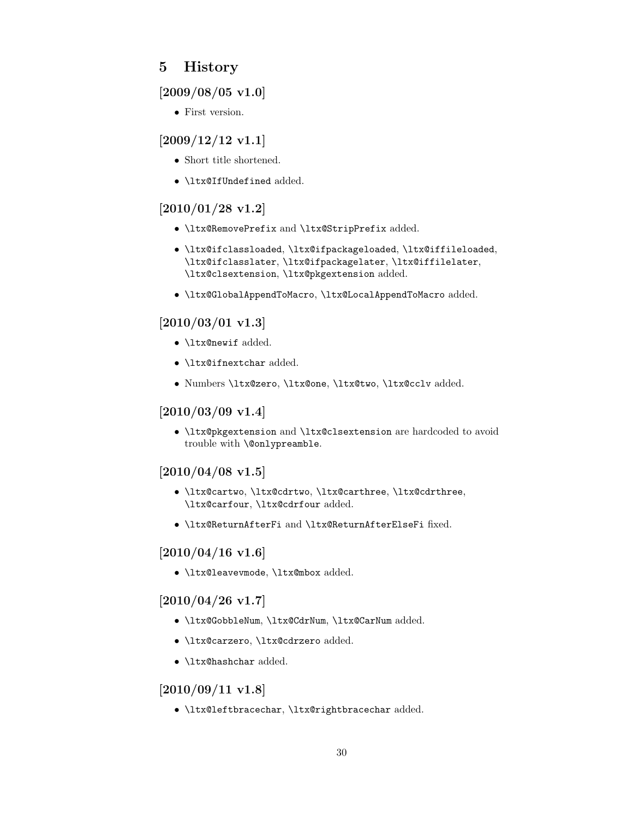## <span id="page-29-0"></span>5 History

## <span id="page-29-1"></span>[2009/08/05 v1.0]

• First version.

## <span id="page-29-2"></span>[2009/12/12 v1.1]

- Short title shortened.
- **\ltx@IfUndefined** added.

## <span id="page-29-3"></span>[2010/01/28 v1.2]

- \ltx@RemovePrefix and \ltx@StripPrefix added.
- \ltx@ifclassloaded, \ltx@ifpackageloaded, \ltx@iffileloaded, \ltx@ifclasslater, \ltx@ifpackagelater, \ltx@iffilelater, \ltx@clsextension, \ltx@pkgextension added.
- \ltx@GlobalAppendToMacro, \ltx@LocalAppendToMacro added.

## <span id="page-29-4"></span> $[2010/03/01 \text{ v}1.3]$

- \ltx@newif added.
- \ltx@ifnextchar added.
- Numbers \ltx@zero, \ltx@one, \ltx@two, \ltx@cclv added.

## <span id="page-29-5"></span> $[2010/03/09 \text{ v}1.4]$

• \ltx@pkgextension and \ltx@clsextension are hardcoded to avoid trouble with \@onlypreamble.

## <span id="page-29-6"></span> $[2010/04/08 \text{ v}1.5]$

- \ltx@cartwo, \ltx@cdrtwo, \ltx@carthree, \ltx@cdrthree, \ltx@carfour, \ltx@cdrfour added.
- \ltx@ReturnAfterFi and \ltx@ReturnAfterElseFi fixed.

## <span id="page-29-7"></span> $[2010/04/16 \text{ v}1.6]$

• \ltx@leavevmode, \ltx@mbox added.

## <span id="page-29-8"></span> $[2010/04/26 \text{ v}1.7]$

- \ltx@GobbleNum, \ltx@CdrNum, \ltx@CarNum added.
- \ltx@carzero, \ltx@cdrzero added.
- \ltx@hashchar added.

## <span id="page-29-9"></span>[2010/09/11 v1.8]

• \ltx@leftbracechar, \ltx@rightbracechar added.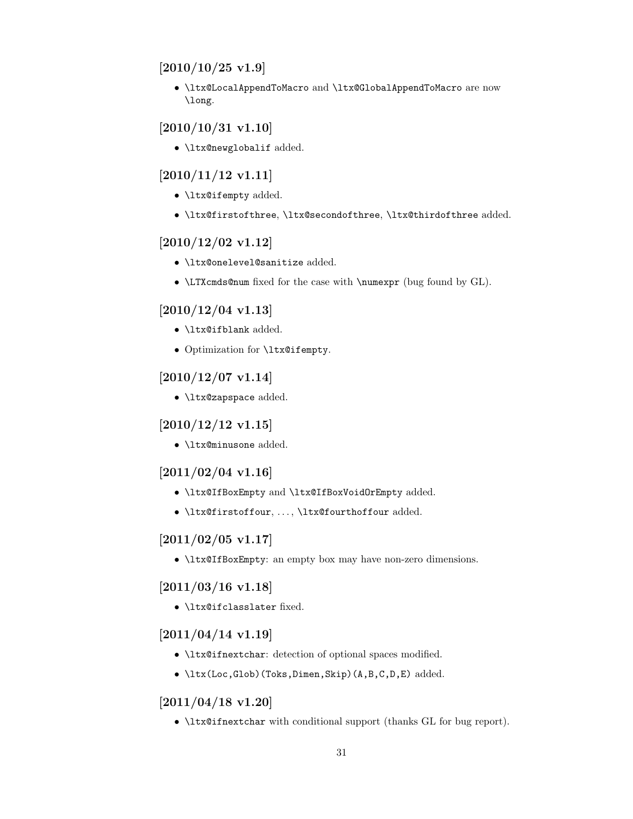## <span id="page-30-0"></span> $[2010/10/25 \text{ v}1.9]$

• \ltx@LocalAppendToMacro and \ltx@GlobalAppendToMacro are now \long.

## <span id="page-30-1"></span> $[2010/10/31 \text{ v}1.10]$

• \ltx@newglobalif added.

## <span id="page-30-2"></span> $[2010/11/12 \text{ v}1.11]$

- \ltx@ifempty added.
- \ltx@firstofthree, \ltx@secondofthree, \ltx@thirdofthree added.

## <span id="page-30-3"></span>[2010/12/02 v1.12]

- \ltx@onelevel@sanitize added.
- \LTXcmds@num fixed for the case with \numexpr (bug found by GL).

## <span id="page-30-4"></span> $[2010/12/04 \text{ v}1.13]$

- \ltx@ifblank added.
- Optimization for \ltx@ifempty.

## <span id="page-30-5"></span> $[2010/12/07 \text{ v}1.14]$

• \ltx@zapspace added.

## <span id="page-30-6"></span>[2010/12/12 v1.15]

• \ltx@minusone added.

## <span id="page-30-7"></span> $[2011/02/04 \text{ v}1.16]$

- \ltx@IfBoxEmpty and \ltx@IfBoxVoidOrEmpty added.
- \ltx@firstoffour, . . . , \ltx@fourthoffour added.

## <span id="page-30-8"></span> $[2011/02/05 \text{ v}1.17]$

• \ltx@IfBoxEmpty: an empty box may have non-zero dimensions.

## <span id="page-30-9"></span> $[2011/03/16 \text{ v}1.18]$

• \ltx@ifclasslater fixed.

## <span id="page-30-10"></span> $[2011/04/14 \text{ v}1.19]$

- \ltx@ifnextchar: detection of optional spaces modified.
- \ltx(Loc,Glob)(Toks,Dimen,Skip)(A,B,C,D,E) added.

## <span id="page-30-11"></span>[2011/04/18 v1.20]

• \ltx@ifnextchar with conditional support (thanks GL for bug report).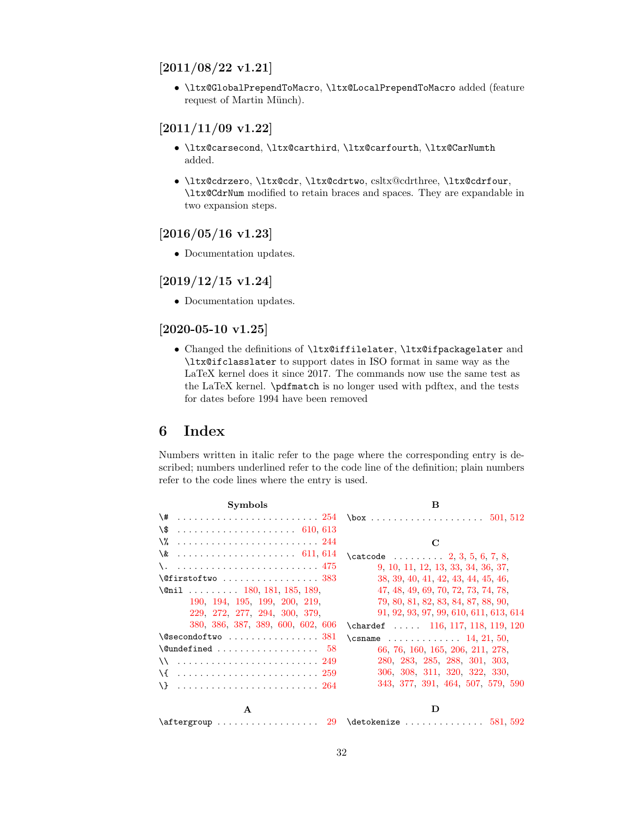## <span id="page-31-0"></span>[2011/08/22 v1.21]

• \ltx@GlobalPrependToMacro, \ltx@LocalPrependToMacro added (feature request of Martin Münch).

## <span id="page-31-1"></span>[2011/11/09 v1.22]

- \ltx@carsecond, \ltx@carthird, \ltx@carfourth, \ltx@CarNumth added.
- \ltx@cdrzero, \ltx@cdr, \ltx@cdrtwo, csltx@cdrthree, \ltx@cdrfour, \ltx@CdrNum modified to retain braces and spaces. They are expandable in two expansion steps.

## <span id="page-31-2"></span>[2016/05/16 v1.23]

• Documentation updates.

## <span id="page-31-3"></span>[2019/12/15 v1.24]

• Documentation updates.

## <span id="page-31-4"></span>[2020-05-10 v1.25]

• Changed the definitions of \ltx@iffilelater, \ltx@ifpackagelater and \ltx@ifclasslater to support dates in ISO format in same way as the LaTeX kernel does it since 2017. The commands now use the same test as the LaTeX kernel. \pdfmatch is no longer used with pdftex, and the tests for dates before 1994 have been removed

## <span id="page-31-5"></span>6 Index

Numbers written in italic refer to the page where the corresponding entry is described; numbers underlined refer to the code line of the definition; plain numbers refer to the code lines where the entry is used.

| <b>Symbols</b>                                                 | B                                                                    |
|----------------------------------------------------------------|----------------------------------------------------------------------|
|                                                                | $\text{box} \dots \dots \dots \dots \dots \dots \dots \ 501, \, 512$ |
| \\$                                                            |                                                                      |
| \%                                                             | C                                                                    |
| $\& \ldots \ldots \ldots \ldots \ldots \ldots \quad 611, 614$  | $\text{Catcode} \dots \dots \dots \quad 2, 3, 5, 6, 7, 8,$           |
|                                                                | 9, 10, 11, 12, 13, 33, 34, 36, 37,                                   |
| $\left\{\mathcal{C}$ firstoftwo  383                           | 38, 39, 40, 41, 42, 43, 44, 45, 46,                                  |
| \@nil  180, 181, 185, 189,                                     | 47, 48, 49, 69, 70, 72, 73, 74, 78,                                  |
| 190, 194, 195, 199, 200, 219,                                  | 79, 80, 81, 82, 83, 84, 87, 88, 90,                                  |
| 229, 272, 277, 294, 300, 379,                                  | 91, 92, 93, 97, 99, 610, 611, 613, 614                               |
| 380, 386, 387, 389, 600, 602, 606                              | \chardef $116, 117, 118, 119, 120$                                   |
| $\sqrt{Q}$ secondoftwo  381                                    | \csname  14, 21, 50,                                                 |
| $\{\text{Qundefined} \dots \dots \dots \dots \dots \quad 58\}$ | 66, 76, 160, 165, 206, 211, 278,                                     |
| $\setminus$ 249                                                | 280, 283, 285, 288, 301, 303,                                        |
|                                                                | 306, 308, 311, 320, 322, 330,                                        |
|                                                                | 343, 377, 391, 464, 507, 579, 590                                    |
| $\mathbf{A}$                                                   | D                                                                    |
|                                                                |                                                                      |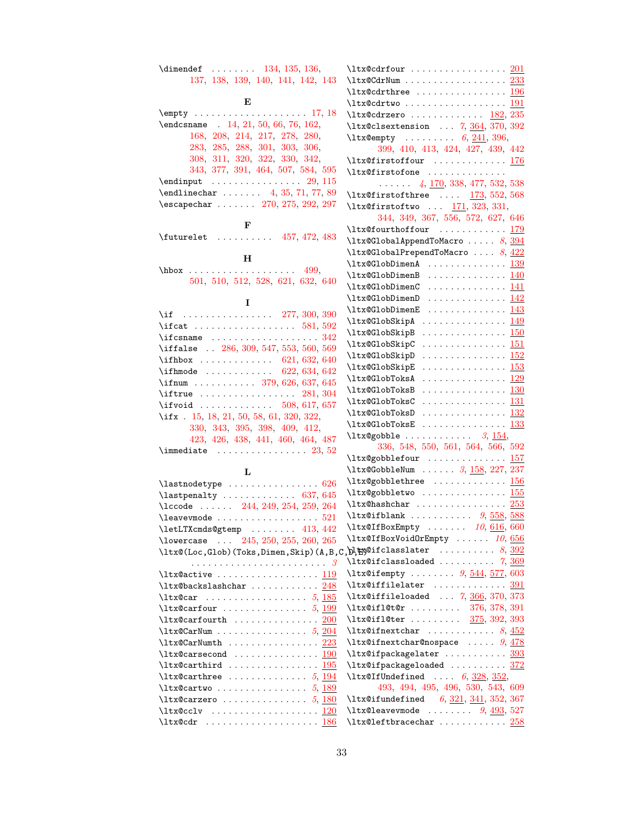| $\dim$ endef  134, 135, 136,                                                                                         | $\texttt{ltx@cdfour} \dots \dots \dots \dots \dots \ 201$                                                                   |  |
|----------------------------------------------------------------------------------------------------------------------|-----------------------------------------------------------------------------------------------------------------------------|--|
| 137, 138, 139, 140, 141, 142, 143                                                                                    | $\texttt{ltx@CdrNum} \dots \dots \dots \dots \dots \ 233$                                                                   |  |
|                                                                                                                      | $\texttt{ltx@cdrthree}$ 196                                                                                                 |  |
| E                                                                                                                    | $\texttt{ltx@cdrtwo} \dots \dots \dots \dots \dots \dots \dots \dots \dots$                                                 |  |
|                                                                                                                      | $\texttt{ltx@cdrzero} \dots \dots \dots \dots \_182, 235$                                                                   |  |
| \endcsname . 14, 21, 50, 66, 76, 162,                                                                                | \ltx@clsextension  7, 364, 370, 392                                                                                         |  |
| 168, 208, 214, 217, 278, 280,                                                                                        | $\texttt{ltxQempty}$ 6, 241, 396,                                                                                           |  |
| 283, 285, 288, 301, 303, 306,                                                                                        | 399, 410, 413, 424, 427, 439, 442                                                                                           |  |
| 308, 311, 320, 322, 330, 342,                                                                                        | \ltx@firstoffour  176                                                                                                       |  |
| 343, 377, 391, 464, 507, 584, 595                                                                                    | \ltx@firstofone                                                                                                             |  |
| $\end{im}$ ut  29, 115                                                                                               | $\ldots$ , 4, 170, 338, 477, 532, 538                                                                                       |  |
| $\end{tikz}$ 4, 35, 71, 77, 89                                                                                       | $\text{Utx@first of three} \dots \frac{173}{552}$ , 568                                                                     |  |
| $\text{Vescapechar } \ldots 270, 275, 292, 297$                                                                      | $\text{Utx0first}$ $\frac{171}{323}$ , 331,                                                                                 |  |
| F                                                                                                                    | 344, 349, 367, 556, 572, 627, 646                                                                                           |  |
| $\{\text{futurelet } \dots \dots \ 457, 472, 483\}$                                                                  | $\texttt{ltx@fourthoffour} \dots \dots \dots \frac{179}{}$                                                                  |  |
|                                                                                                                      | $\texttt{ltx@GlobalAppendToMaccro} \ldots \ldots \quad 8, \, \underline{394}$                                               |  |
| н                                                                                                                    | $\texttt{\texttt{ltx@GlobalPrependToMaccro}} \dots 8, 422$                                                                  |  |
| $hbox \dots \dots \dots \dots \dots \ 499,$                                                                          | $\texttt{ltx@GlobalimenA}$ 139                                                                                              |  |
| 501, 510, 512, 528, 621, 632, 640                                                                                    | $\texttt{ltx@GlobDimenB}$ 140                                                                                               |  |
|                                                                                                                      | \ltx@GlobDimenC  141                                                                                                        |  |
| 1                                                                                                                    | $\texttt{ltx@GlobalimenD}$ 142                                                                                              |  |
| \if $\ldots \ldots \ldots \ldots \ldots 277, 300, 390$                                                               | $\texttt{ltx@GlobalimenE}$ 143<br>$\texttt{ltx@GlobSkipA} \dots \dots \dots \dots \underline{149}$                          |  |
| \ifcat $581, 592$                                                                                                    | \ltx@GlobSkipB<br>. <u>150</u>                                                                                              |  |
|                                                                                                                      | \ltx@GlobSkipC<br>. <u>151</u>                                                                                              |  |
| \iffalse  286, 309, 547, 553, 560, 569                                                                               | \ltx@GlobSkipD<br>. 152                                                                                                     |  |
| \ifhbox $621, 632, 640$                                                                                              | \ltx@GlobSkipE<br>. <u>153</u>                                                                                              |  |
| \ifhmode $622, 634, 642$                                                                                             |                                                                                                                             |  |
| \ifnum  379, 626, 637, 645                                                                                           |                                                                                                                             |  |
| $\left\{\text{iftrue}\dots\dots\dots\dots\quad281,\,304\right\}$                                                     | \ltx@GlobToksC<br>. 131                                                                                                     |  |
| \ifx . 15, 18, 21, 50, 58, 61, 320, 322,                                                                             |                                                                                                                             |  |
| 330, 343, 395, 398, 409, 412,                                                                                        |                                                                                                                             |  |
| 423, 426, 438, 441, 460, 464, 487                                                                                    | $\texttt{ltx@gobble} \ldots \ldots \ldots \quad 3, \underline{154},$                                                        |  |
| $\lambda$ immediate $23, 52$                                                                                         | 336, 548, 550, 561, 564, 566, 592                                                                                           |  |
|                                                                                                                      | \ltx@gobblefour  157                                                                                                        |  |
| L                                                                                                                    | $\texttt{ltx@GobbleNum} \dots \dots 3, 158, 227, 237$                                                                       |  |
| $\lambda$ astnodetype  626                                                                                           | $\text{ltx@gobblethree}$ 156                                                                                                |  |
| $\lambda$ astpenalty  637, 645                                                                                       | $\texttt{ltx@gobbletwo} \dots \dots \dots \dots \frac{155}{}$                                                               |  |
| $\text{Nccode}$ 244, 249, 254, 259, 264                                                                              |                                                                                                                             |  |
| $\texttt{\textbackslash}$ leavevmode $\ldots \ldots \ldots \ldots \ldots \quad 521$                                  | $\texttt{ltxQifblank} \dots \dots \dots \ 9, \frac{558}{588}$                                                               |  |
| \letLTXcmds@gtemp  413, 442                                                                                          | $\texttt{ltx@IfBoxEmpty} \dots 10, 616, 660$                                                                                |  |
| \lowercase $\ldots$ 245, 250, 255, 260, 265                                                                          | \ltx@IfBoxVoidOrEmpty  10, 656                                                                                              |  |
| $\setminus$ ltx@(Loc,Glob)(Toks,Dimen,Skip)(A,B,C, $\bigtriangledown$ ,t $\cong$ @ifclasslater $8,\,\underline{392}$ |                                                                                                                             |  |
|                                                                                                                      | $\texttt{ltx@ifclassloaded} \dots \dots \dots \quad \texttt{7, } \frac{369}{369}$<br>\ltx@ifempty $9, \frac{544}{577}, 603$ |  |
| $\texttt{\texttt{ltx@active}} \dots \dots \dots \dots \dots \dots \ 119$                                             | $\texttt{ltx@iffilelater}$ 391                                                                                              |  |
|                                                                                                                      | $\texttt{ltx@iffileloaded} \dots 7, \frac{366}{370}, 373$                                                                   |  |
| $\texttt{ltx@carfour} \dots \dots \dots \dots 5, \underline{199}$                                                    | \ltx@ifl@t@r  376, 378, 391                                                                                                 |  |
| $\texttt{ltx@carfourth}$ 200                                                                                         | $\texttt{ltx@ifleter} \dots \dots \quad \frac{375}{392}$ , 393                                                              |  |
| $\texttt{ltx@CarNum} \; \ldots \; \ldots \; \ldots \; . \; . \; . \; . \; . \; . \; . \; . \; . \; .$                | $\texttt{ltx@ifnextchar}$ 8, 452                                                                                            |  |
| $\texttt{ltx@CarNumber}\dots\dots\dots\dots\ 223$                                                                    | $\texttt{ltx@ifnextchar@nospace}$ $9,478$                                                                                   |  |
| $\texttt{\texttt{ltx@carsecond}} \dots \dots \dots \dots \dots \underline{190}$                                      | \ltx@ifpackagelater  393                                                                                                    |  |
| $\texttt{ltx@carthird} \dots \dots \dots \dots \dots \frac{195}{195}$                                                | $\texttt{ltx@ifpackageloaded} \dots \dots \dots \frac{372}{372}$                                                            |  |
|                                                                                                                      | \ltx@IfUndefined $6, 328, 352,$                                                                                             |  |
| $\texttt{ltx@cartwo} \dots \dots \dots \dots 5, 189$                                                                 | 493, 494, 495, 496, 530, 543, 609                                                                                           |  |
| $\texttt{\texttt{ltx@carzero}} \dots \dots \dots \dots \dots 5, \underline{180}$                                     | $\text{Utx@ifundefined} \quad 6, \frac{321}{341}, \frac{341}{352}, \frac{367}{362}$                                         |  |
|                                                                                                                      | $\texttt{ltx@leavevmode} \dots \dots \quad 9, \frac{493}{527}$                                                              |  |
| $\texttt{ltx@cdr}$ 186                                                                                               | $\texttt{ltx@leftbracechar} \dots \dots \dots \frac{258}{258}$                                                              |  |
|                                                                                                                      |                                                                                                                             |  |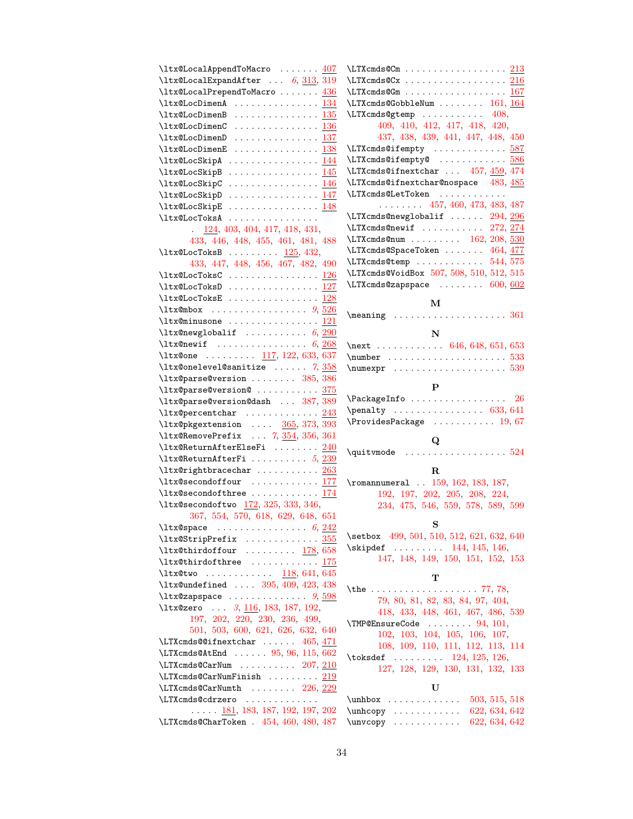| $\text{ltx@LocalAppendToMaccro} \dots 407$                                                |                                                                                      |
|-------------------------------------------------------------------------------------------|--------------------------------------------------------------------------------------|
| $\texttt{ltx@LocalExpandAfter} \dots 6, \frac{313}{319}$                                  |                                                                                      |
| $\texttt{ltx@LocalPrependToMaccro}$ 436                                                   | \LTXcmds@Gm 167                                                                      |
| \ltx@LocDimenA  134                                                                       | $\LTXcmds@GobbleNum \ldots \ldots \quad 161, 164$                                    |
| $\text{ltx@LocDimension}$ 135                                                             | \LTXcmds@gtemp  408,                                                                 |
|                                                                                           | 409, 410, 412, 417, 418, 420,                                                        |
| $\texttt{ltx@LocDimension}$ 137                                                           | 437, 438, 439, 441, 447, 448, 450                                                    |
|                                                                                           | \LTXcmds@ifempty  587                                                                |
| \ltx@LocSkipA  144                                                                        | \LTXcmds@ifempty@586                                                                 |
|                                                                                           | \LTXcmds@ifnextchar  457, 459, 474                                                   |
| $\texttt{ltx@LocSkipC} \dots \dots \dots \dots \_146$                                     | \LTXcmds@ifnextchar@nospace 483, 485                                                 |
| \ltx@LocSkipD  147                                                                        | \LTXcmds@LetToken                                                                    |
| $\texttt{ltx@LocSkipE}$ 148                                                               | $\ldots \ldots \ldots$ 457, 460, 473, 483, 487                                       |
| \ltx@LocToksA                                                                             | \LTXcmds@newglobalif $294, 296$                                                      |
| $\frac{124}{124}$ , 403, 404, 417, 418, 431,                                              | $\LTXcmds$ @newif  272, 274                                                          |
| 433, 446, 448, 455, 461, 481, 488                                                         | \LTXcmds@num  162, 208, 530                                                          |
| $\texttt{ltx@LocToksB} \dots \dots \dots \_125, 432,$                                     | \LTXcmds@SpaceToken  464, 477                                                        |
| 433, 447, 448, 456, 467, 482, 490                                                         | \LTXcmds@temp  544,575                                                               |
| $\texttt{ltx@LocToksC} \dots \dots \dots \dots \dots \ 126$                               | \LTXcmds@VoidBox 507, 508, 510, 512, 515                                             |
| $\text{ltx@LocToksD}$ 127                                                                 | $\L{TXcmds}$ @zapspace  600, 602                                                     |
|                                                                                           | м                                                                                    |
|                                                                                           |                                                                                      |
|                                                                                           |                                                                                      |
| $\texttt{ltx@newglobalif}$ 6, 290                                                         | N                                                                                    |
|                                                                                           | \next 646, 648, 651, 653                                                             |
| \ltx@one  117, 122, 633, 637                                                              |                                                                                      |
| $\texttt{ltx@onelevel@sanitize} \dots \dots \ 7, \frac{358}{358}$                         |                                                                                      |
| \ltx@parse@version  385, 386                                                              |                                                                                      |
| \ltx@parse@version@ 375                                                                   | P                                                                                    |
|                                                                                           |                                                                                      |
| \ltx@parse@version@dash  387, 389                                                         | $\Pack$ ackageInfo  26                                                               |
| $\texttt{ltx@percentchar}$ 243                                                            | $\penalty$ 633, 641                                                                  |
| \ltx@pkgextension  365, 373, 393                                                          | $\ProvidesPackage \ldots \ldots \ldots 19,67$                                        |
| $\texttt{ltx@RemovePrefix} \dots 7, \frac{354}{356}, 361$                                 |                                                                                      |
| \ltx@ReturnAfterElseFi  240                                                               | $\bf{Q}$                                                                             |
| $\texttt{ltx@ReturnAfterFi}$ 5, 239                                                       |                                                                                      |
| \ltx@rightbracechar  263                                                                  | R                                                                                    |
| \ltx@secondoffour  177                                                                    | \romannumeral  159, 162, 183, 187,                                                   |
| $\texttt{ltx@secondofthree} \dots \dots \dots \dots \frac{174}{}$                         | 192, 197, 202, 205, 208, 224,                                                        |
| \ltx@secondoftwo 172, 325, 333, 346,                                                      | 234, 475, 546, 559, 578, 589, 599                                                    |
| 367, 554, 570, 618, 629, 648, 651                                                         |                                                                                      |
|                                                                                           | S                                                                                    |
| $\texttt{ltx@StringPrefix}$ 355                                                           | \setbox 499, 501, 510, 512, 621, 632, 640                                            |
| $\text{Utx@third of four} \dots \dots \dots \frac{178}{658}$                              | $\kappa$ ipdef  144, 145, 146,                                                       |
| $\texttt{ltx@thirdofthree}$ 175                                                           | 147, 148, 149, 150, 151, 152, 153                                                    |
| \ltx@two $118,641,645$                                                                    | т                                                                                    |
| \ltx@undefined  395, 409, 423, 438                                                        | \the  77, 78,                                                                        |
| $\texttt{ltx@zapspace} \ldots \ldots \ldots \ldots \ldots \ldots \quad 9, \, 598$         | 79, 80, 81, 82, 83, 84, 97, 404,                                                     |
| \ltx@zero  3, 116, 183, 187, 192,                                                         | 418, 433, 448, 461, 467, 486, 539                                                    |
| 197, 202, 220, 230, 236, 499,                                                             | $\Upsilon$ MP@EnsureCode  94, 101,                                                   |
| 501, 503, 600, 621, 626, 632, 640                                                         | 102, 103, 104, 105, 106, 107,                                                        |
| \LTXcmds@@ifnextchar $465, \frac{471}{1000}$                                              | 108, 109, 110, 111, 112, 113, 114                                                    |
| $\LT X cm ds @ A t End$ 95, 96, 115, 662                                                  | \toksdef $124, 125, 126,$                                                            |
| $\LT X cm ds @CarNum$ $207, 210$                                                          | 127, 128, 129, 130, 131, 132, 133                                                    |
| $\verb \LTXcmds@CarNumFinish         219 $                                                |                                                                                      |
| \LTXcmds@CarNumth  226, 229                                                               | U                                                                                    |
| \LTXcmds@cdrzero                                                                          | $\unhbox$<br>503, 515, 518                                                           |
| $\ldots$ $\ldots$ 181, 183, 187, 192, 197, 202<br>\LTXcmds@CharToken . 454, 460, 480, 487 | $\unhcopy \dots \dots$<br>622, 634, 642<br>$\unveopy \ldots \ldots$<br>622, 634, 642 |